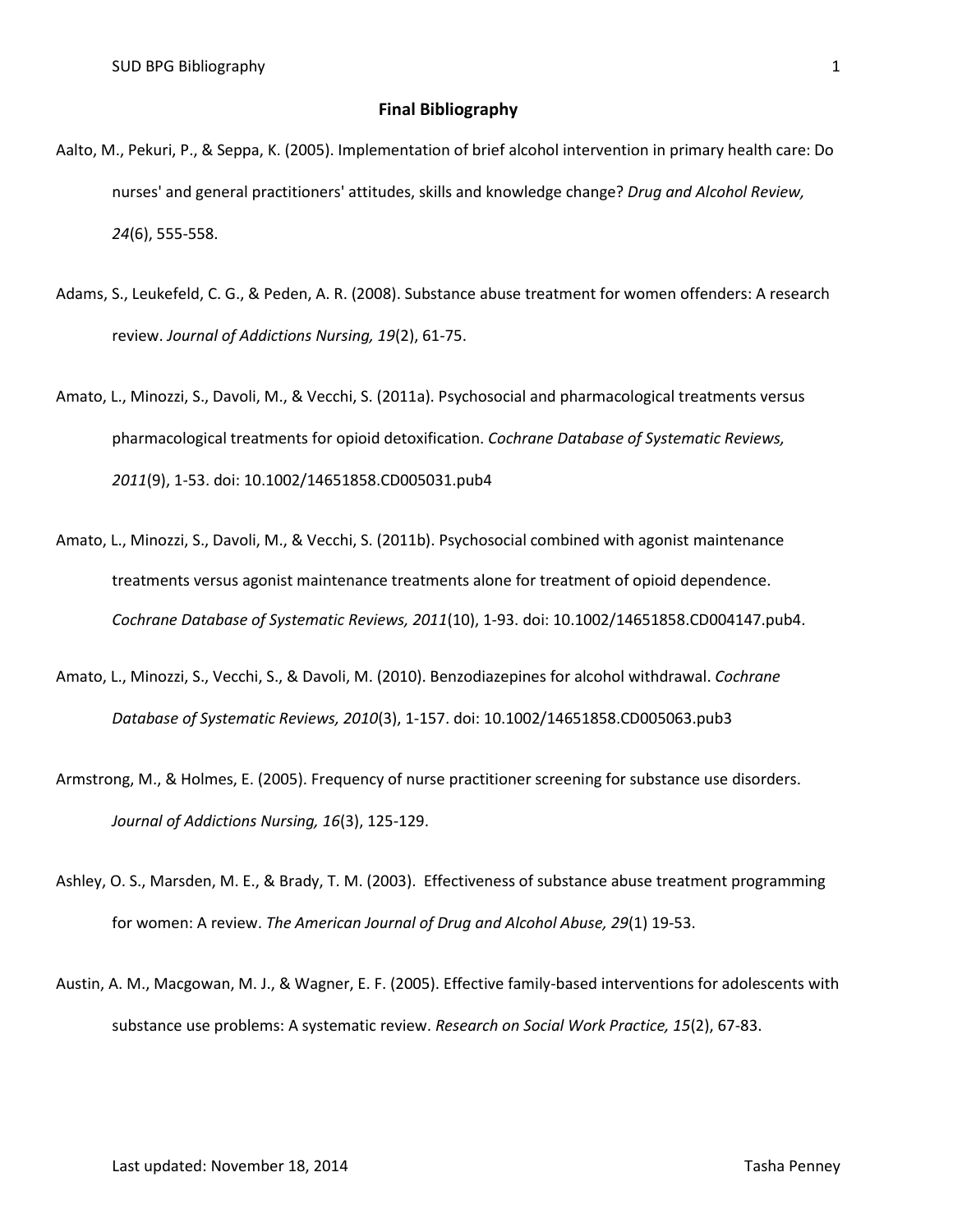## **Final Bibliography**

- Aalto, M., Pekuri, P., & Seppa, K. (2005). Implementation of brief alcohol intervention in primary health care: Do nurses' and general practitioners' attitudes, skills and knowledge change? *Drug and Alcohol Review, 24*(6), 555-558.
- Adams, S., Leukefeld, C. G., & Peden, A. R. (2008). Substance abuse treatment for women offenders: A research review. *Journal of Addictions Nursing, 19*(2), 61-75.
- Amato, L., Minozzi, S., Davoli, M., & Vecchi, S. (2011a). Psychosocial and pharmacological treatments versus pharmacological treatments for opioid detoxification. *Cochrane Database of Systematic Reviews, 2011*(9), 1-53. doi: 10.1002/14651858.CD005031.pub4
- Amato, L., Minozzi, S., Davoli, M., & Vecchi, S. (2011b). Psychosocial combined with agonist maintenance treatments versus agonist maintenance treatments alone for treatment of opioid dependence. *Cochrane Database of Systematic Reviews, 2011*(10), 1-93. doi: 10.1002/14651858.CD004147.pub4.
- Amato, L., Minozzi, S., Vecchi, S., & Davoli, M. (2010). Benzodiazepines for alcohol withdrawal. *Cochrane Database of Systematic Reviews, 2010*(3), 1-157. doi: 10.1002/14651858.CD005063.pub3
- Armstrong, M., & Holmes, E. (2005). Frequency of nurse practitioner screening for substance use disorders. *Journal of Addictions Nursing, 16*(3), 125-129.
- Ashley, O. S., Marsden, M. E., & Brady, T. M. (2003). Effectiveness of substance abuse treatment programming for women: A review. *The American Journal of Drug and Alcohol Abuse, 29*(1) 19-53.
- Austin, A. M., Macgowan, M. J., & Wagner, E. F. (2005). Effective family-based interventions for adolescents with substance use problems: A systematic review. *Research on Social Work Practice, 15*(2), 67-83.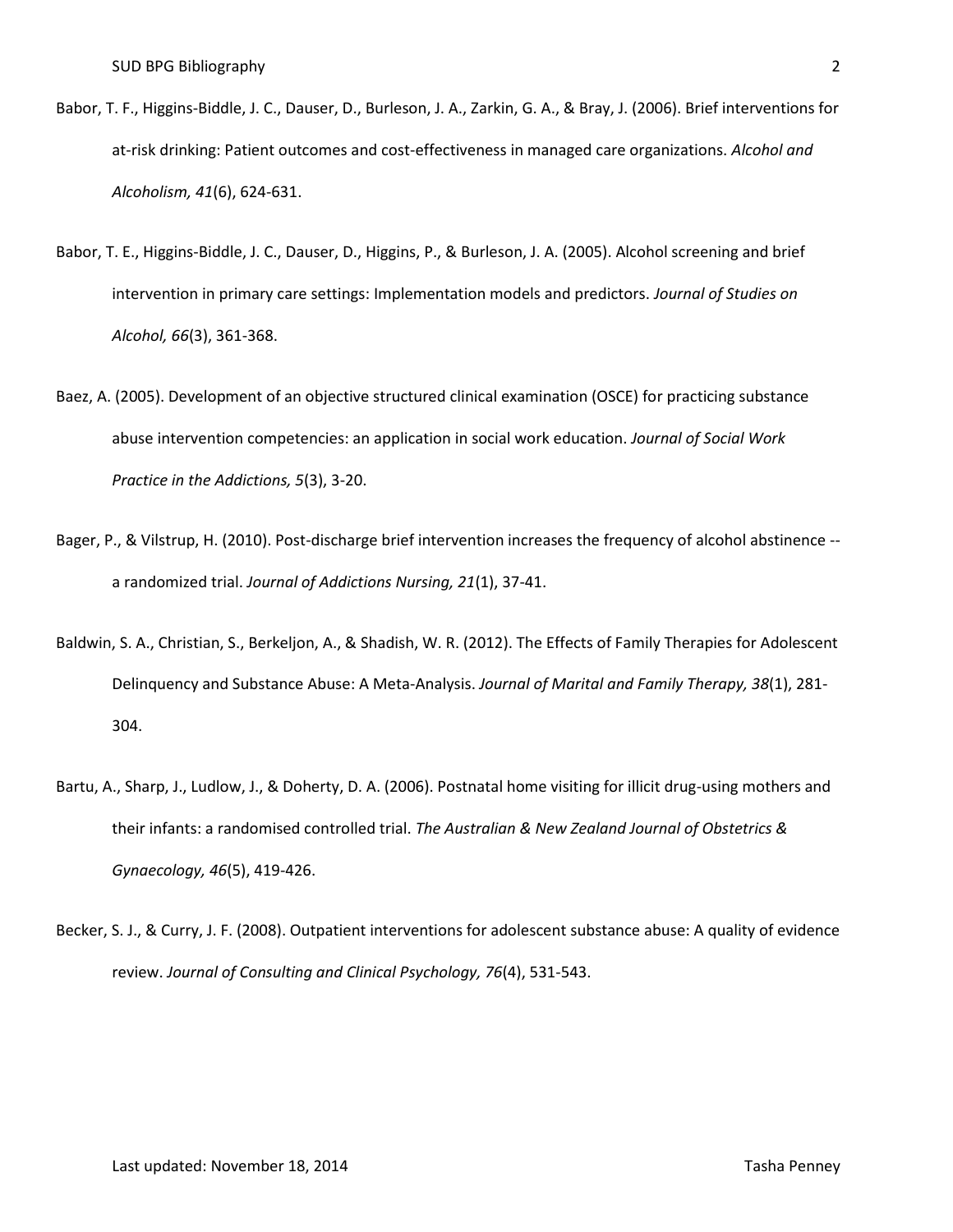- Babor, T. F., Higgins-Biddle, J. C., Dauser, D., Burleson, J. A., Zarkin, G. A., & Bray, J. (2006). Brief interventions for at-risk drinking: Patient outcomes and cost-effectiveness in managed care organizations. *Alcohol and Alcoholism, 41*(6), 624-631.
- Babor, T. E., Higgins-Biddle, J. C., Dauser, D., Higgins, P., & Burleson, J. A. (2005). Alcohol screening and brief intervention in primary care settings: Implementation models and predictors. *Journal of Studies on Alcohol, 66*(3), 361-368.
- Baez, A. (2005). Development of an objective structured clinical examination (OSCE) for practicing substance abuse intervention competencies: an application in social work education. *Journal of Social Work Practice in the Addictions, 5*(3), 3-20.
- Bager, P., & Vilstrup, H. (2010). Post-discharge brief intervention increases the frequency of alcohol abstinence a randomized trial. *Journal of Addictions Nursing, 21*(1), 37-41.
- Baldwin, S. A., Christian, S., Berkeljon, A., & Shadish, W. R. (2012). The Effects of Family Therapies for Adolescent Delinquency and Substance Abuse: A Meta-Analysis. *Journal of Marital and Family Therapy, 38*(1), 281- 304.
- Bartu, A., Sharp, J., Ludlow, J., & Doherty, D. A. (2006). Postnatal home visiting for illicit drug-using mothers and their infants: a randomised controlled trial. *The Australian & New Zealand Journal of Obstetrics & Gynaecology, 46*(5), 419-426.
- Becker, S. J., & Curry, J. F. (2008). Outpatient interventions for adolescent substance abuse: A quality of evidence review. *Journal of Consulting and Clinical Psychology, 76*(4), 531-543.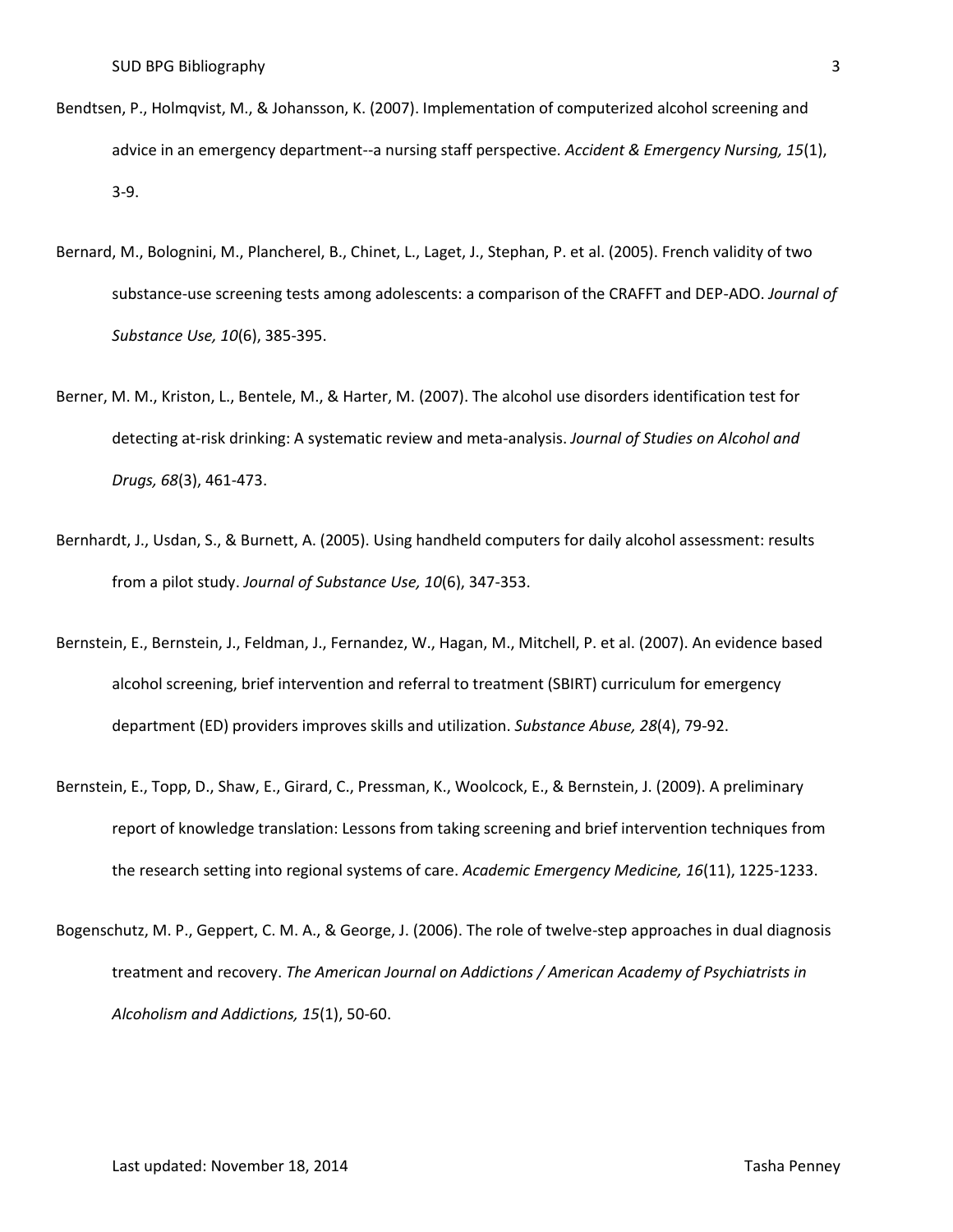- Bendtsen, P., Holmqvist, M., & Johansson, K. (2007). Implementation of computerized alcohol screening and advice in an emergency department--a nursing staff perspective. *Accident & Emergency Nursing, 15*(1), 3-9.
- Bernard, M., Bolognini, M., Plancherel, B., Chinet, L., Laget, J., Stephan, P. et al. (2005). French validity of two substance-use screening tests among adolescents: a comparison of the CRAFFT and DEP-ADO. *Journal of Substance Use, 10*(6), 385-395.
- Berner, M. M., Kriston, L., Bentele, M., & Harter, M. (2007). The alcohol use disorders identification test for detecting at-risk drinking: A systematic review and meta-analysis. *Journal of Studies on Alcohol and Drugs, 68*(3), 461-473.
- Bernhardt, J., Usdan, S., & Burnett, A. (2005). Using handheld computers for daily alcohol assessment: results from a pilot study. *Journal of Substance Use, 10*(6), 347-353.
- Bernstein, E., Bernstein, J., Feldman, J., Fernandez, W., Hagan, M., Mitchell, P. et al. (2007). An evidence based alcohol screening, brief intervention and referral to treatment (SBIRT) curriculum for emergency department (ED) providers improves skills and utilization. *Substance Abuse, 28*(4), 79-92.
- Bernstein, E., Topp, D., Shaw, E., Girard, C., Pressman, K., Woolcock, E., & Bernstein, J. (2009). A preliminary report of knowledge translation: Lessons from taking screening and brief intervention techniques from the research setting into regional systems of care. *Academic Emergency Medicine, 16*(11), 1225-1233.
- Bogenschutz, M. P., Geppert, C. M. A., & George, J. (2006). The role of twelve-step approaches in dual diagnosis treatment and recovery. *The American Journal on Addictions / American Academy of Psychiatrists in Alcoholism and Addictions, 15*(1), 50-60.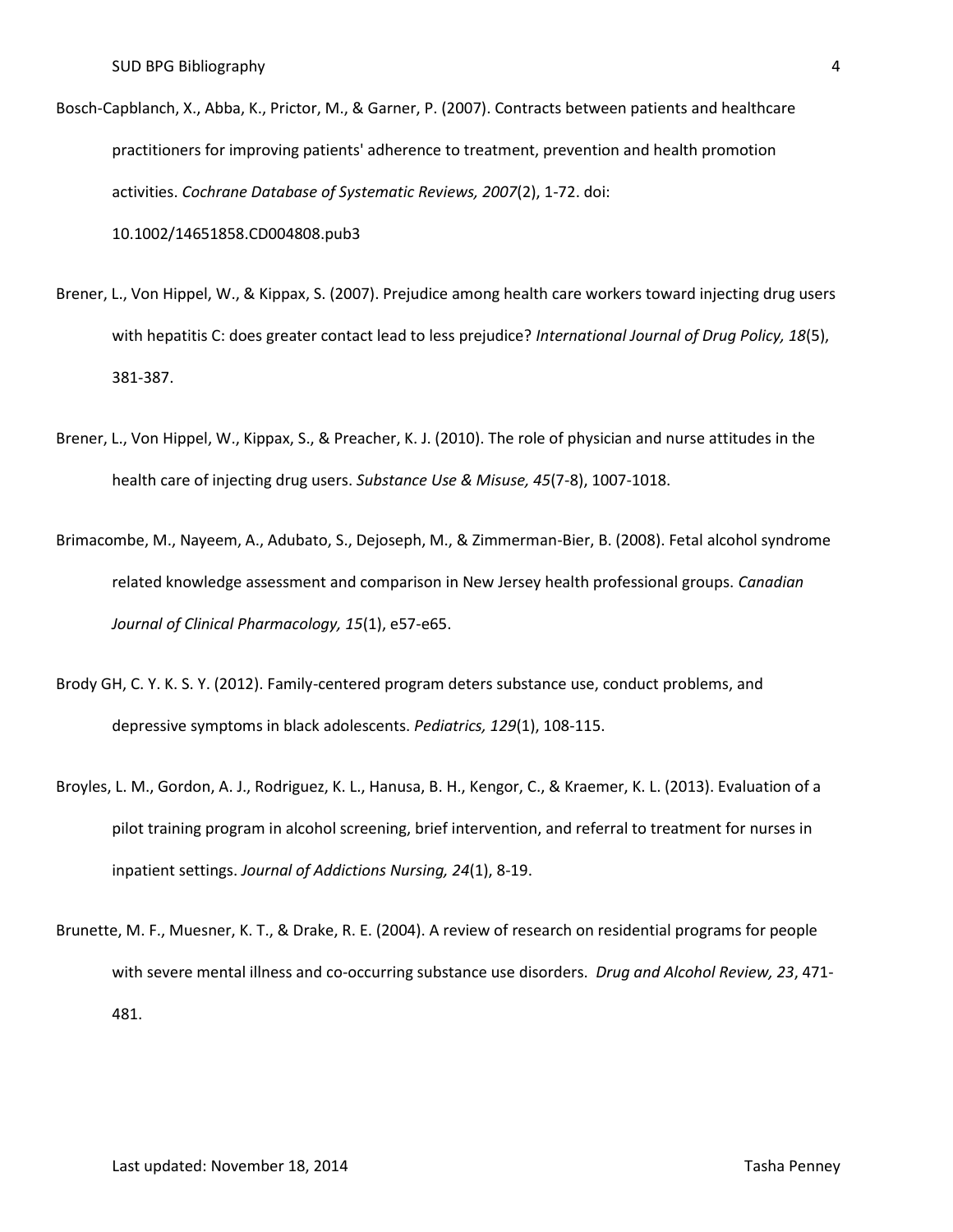- Bosch-Capblanch, X., Abba, K., Prictor, M., & Garner, P. (2007). Contracts between patients and healthcare practitioners for improving patients' adherence to treatment, prevention and health promotion activities. *Cochrane Database of Systematic Reviews, 2007*(2), 1-72. doi: 10.1002/14651858.CD004808.pub3
- Brener, L., Von Hippel, W., & Kippax, S. (2007). Prejudice among health care workers toward injecting drug users with hepatitis C: does greater contact lead to less prejudice? *International Journal of Drug Policy, 18*(5), 381-387.
- Brener, L., Von Hippel, W., Kippax, S., & Preacher, K. J. (2010). The role of physician and nurse attitudes in the health care of injecting drug users. *Substance Use & Misuse, 45*(7-8), 1007-1018.
- Brimacombe, M., Nayeem, A., Adubato, S., Dejoseph, M., & Zimmerman-Bier, B. (2008). Fetal alcohol syndrome related knowledge assessment and comparison in New Jersey health professional groups. *Canadian Journal of Clinical Pharmacology, 15*(1), e57-e65.
- Brody GH, C. Y. K. S. Y. (2012). Family-centered program deters substance use, conduct problems, and depressive symptoms in black adolescents. *Pediatrics, 129*(1), 108-115.
- Broyles, L. M., Gordon, A. J., Rodriguez, K. L., Hanusa, B. H., Kengor, C., & Kraemer, K. L. (2013). Evaluation of a pilot training program in alcohol screening, brief intervention, and referral to treatment for nurses in inpatient settings. *Journal of Addictions Nursing, 24*(1), 8-19.
- Brunette, M. F., Muesner, K. T., & Drake, R. E. (2004). A review of research on residential programs for people with severe mental illness and co-occurring substance use disorders. *Drug and Alcohol Review, 23*, 471- 481.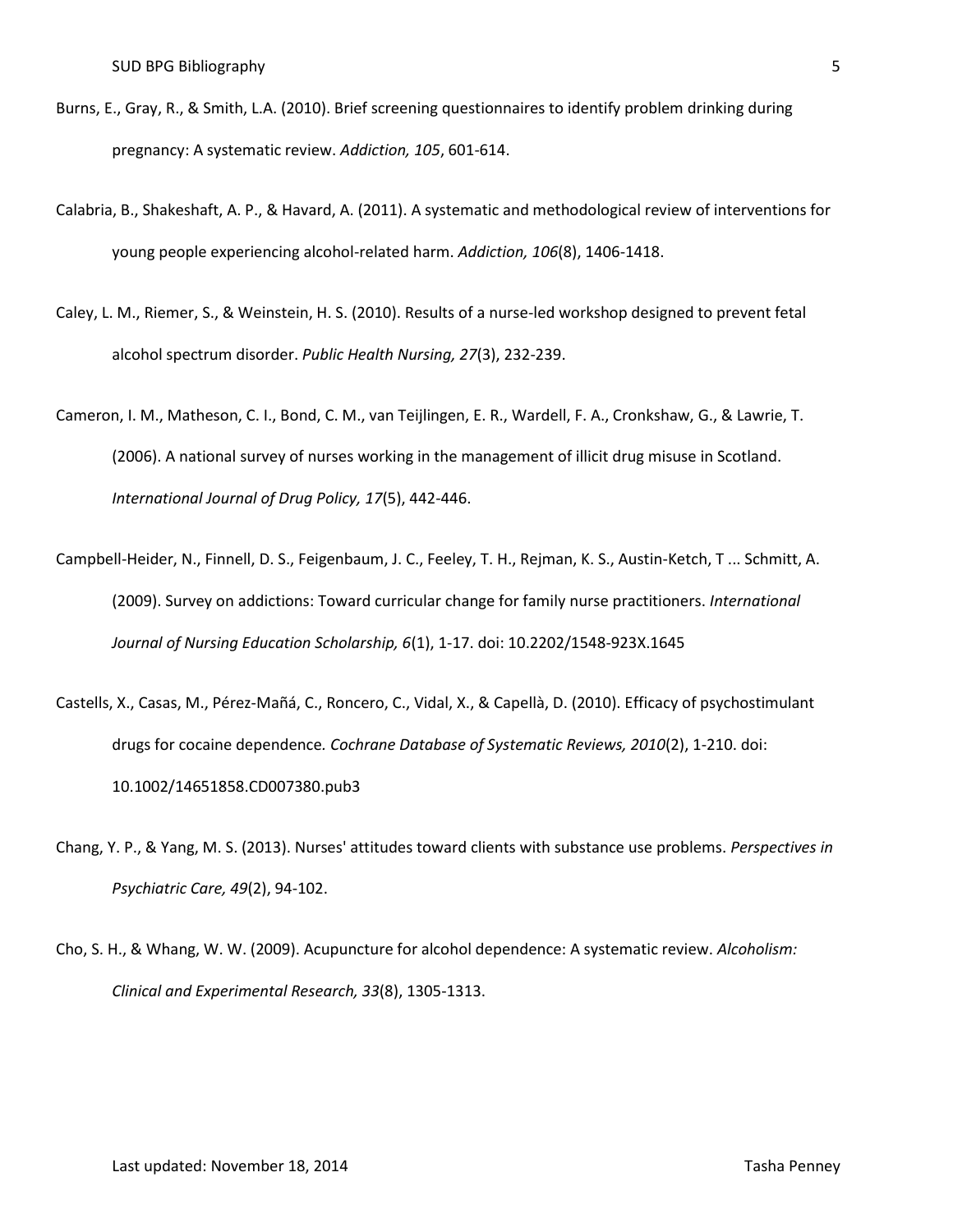- Burns, E., Gray, R., & Smith, L.A. (2010). Brief screening questionnaires to identify problem drinking during pregnancy: A systematic review. *Addiction, 105*, 601-614.
- Calabria, B., Shakeshaft, A. P., & Havard, A. (2011). A systematic and methodological review of interventions for young people experiencing alcohol-related harm. *Addiction, 106*(8), 1406-1418.
- Caley, L. M., Riemer, S., & Weinstein, H. S. (2010). Results of a nurse-led workshop designed to prevent fetal alcohol spectrum disorder. *Public Health Nursing, 27*(3), 232-239.
- Cameron, I. M., Matheson, C. I., Bond, C. M., van Teijlingen, E. R., Wardell, F. A., Cronkshaw, G., & Lawrie, T. (2006). A national survey of nurses working in the management of illicit drug misuse in Scotland. *International Journal of Drug Policy, 17*(5), 442-446.
- Campbell-Heider, N., Finnell, D. S., Feigenbaum, J. C., Feeley, T. H., Rejman, K. S., Austin-Ketch, T ... Schmitt, A. (2009). Survey on addictions: Toward curricular change for family nurse practitioners. *International Journal of Nursing Education Scholarship, 6*(1), 1-17. doi: 10.2202/1548-923X.1645
- Castells, X., Casas, M., Pérez-Mañá, C., Roncero, C., Vidal, X., & Capellà, D. (2010). Efficacy of psychostimulant drugs for cocaine dependence*. Cochrane Database of Systematic Reviews, 2010*(2), 1-210. doi: 10.1002/14651858.CD007380.pub3
- Chang, Y. P., & Yang, M. S. (2013). Nurses' attitudes toward clients with substance use problems. *Perspectives in Psychiatric Care, 49*(2), 94-102.
- Cho, S. H., & Whang, W. W. (2009). Acupuncture for alcohol dependence: A systematic review. *Alcoholism: Clinical and Experimental Research, 33*(8), 1305-1313.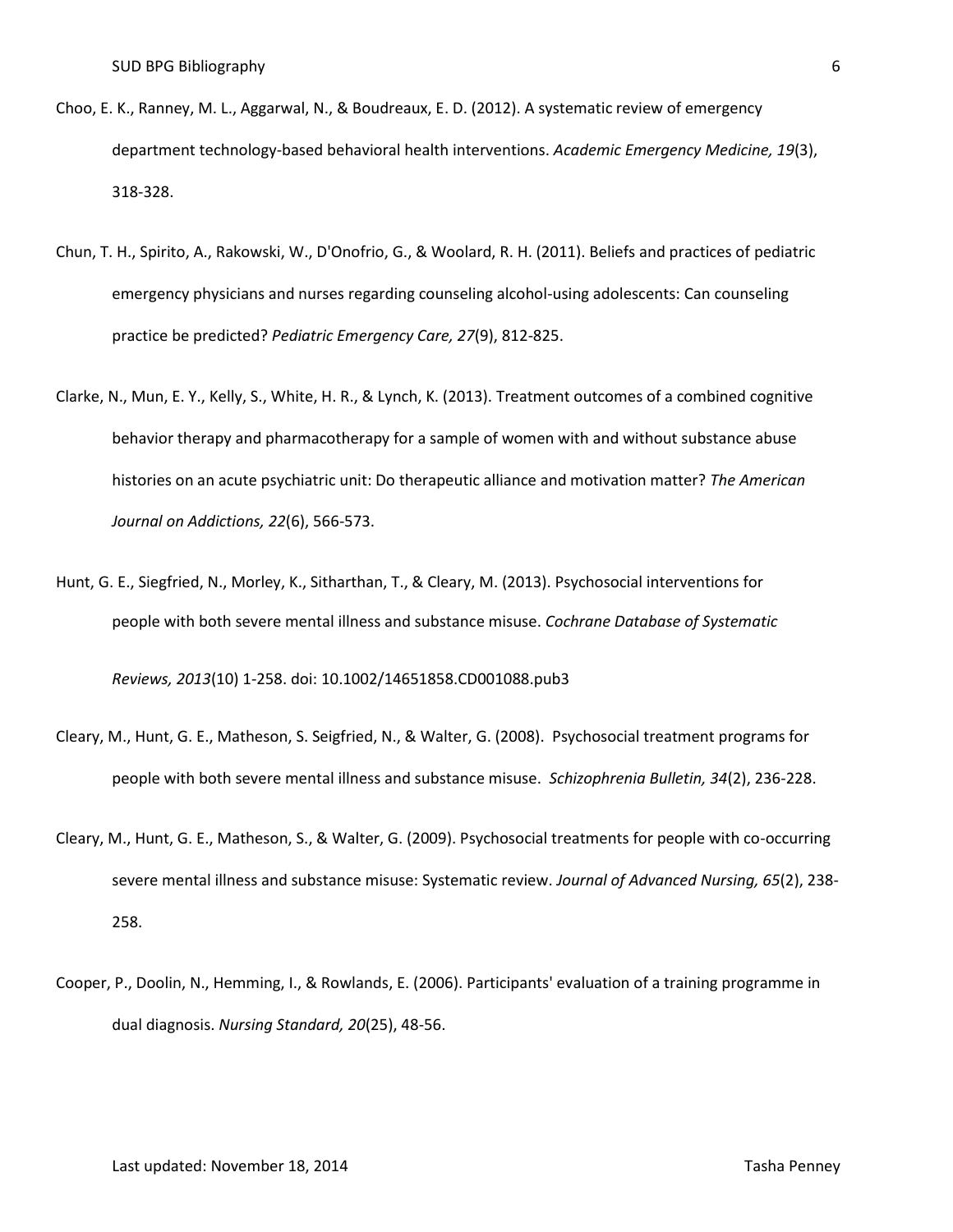- Choo, E. K., Ranney, M. L., Aggarwal, N., & Boudreaux, E. D. (2012). A systematic review of emergency department technology-based behavioral health interventions. *Academic Emergency Medicine, 19*(3), 318-328.
- Chun, T. H., Spirito, A., Rakowski, W., D'Onofrio, G., & Woolard, R. H. (2011). Beliefs and practices of pediatric emergency physicians and nurses regarding counseling alcohol-using adolescents: Can counseling practice be predicted? *Pediatric Emergency Care, 27*(9), 812-825.
- Clarke, N., Mun, E. Y., Kelly, S., White, H. R., & Lynch, K. (2013). Treatment outcomes of a combined cognitive behavior therapy and pharmacotherapy for a sample of women with and without substance abuse histories on an acute psychiatric unit: Do therapeutic alliance and motivation matter? *The American Journal on Addictions, 22*(6), 566-573.
- Hunt, G. E., Siegfried, N., Morley, K., Sitharthan, T., & Cleary, M. (2013). Psychosocial interventions for people with both severe mental illness and substance misuse. *Cochrane Database of Systematic Reviews, 2013*(10) 1-258. doi: 10.1002/14651858.CD001088.pub3
- Cleary, M., Hunt, G. E., Matheson, S. Seigfried, N., & Walter, G. (2008). Psychosocial treatment programs for people with both severe mental illness and substance misuse. *Schizophrenia Bulletin, 34*(2), 236-228.
- Cleary, M., Hunt, G. E., Matheson, S., & Walter, G. (2009). Psychosocial treatments for people with co-occurring severe mental illness and substance misuse: Systematic review. *Journal of Advanced Nursing, 65*(2), 238- 258.
- Cooper, P., Doolin, N., Hemming, I., & Rowlands, E. (2006). Participants' evaluation of a training programme in dual diagnosis. *Nursing Standard, 20*(25), 48-56.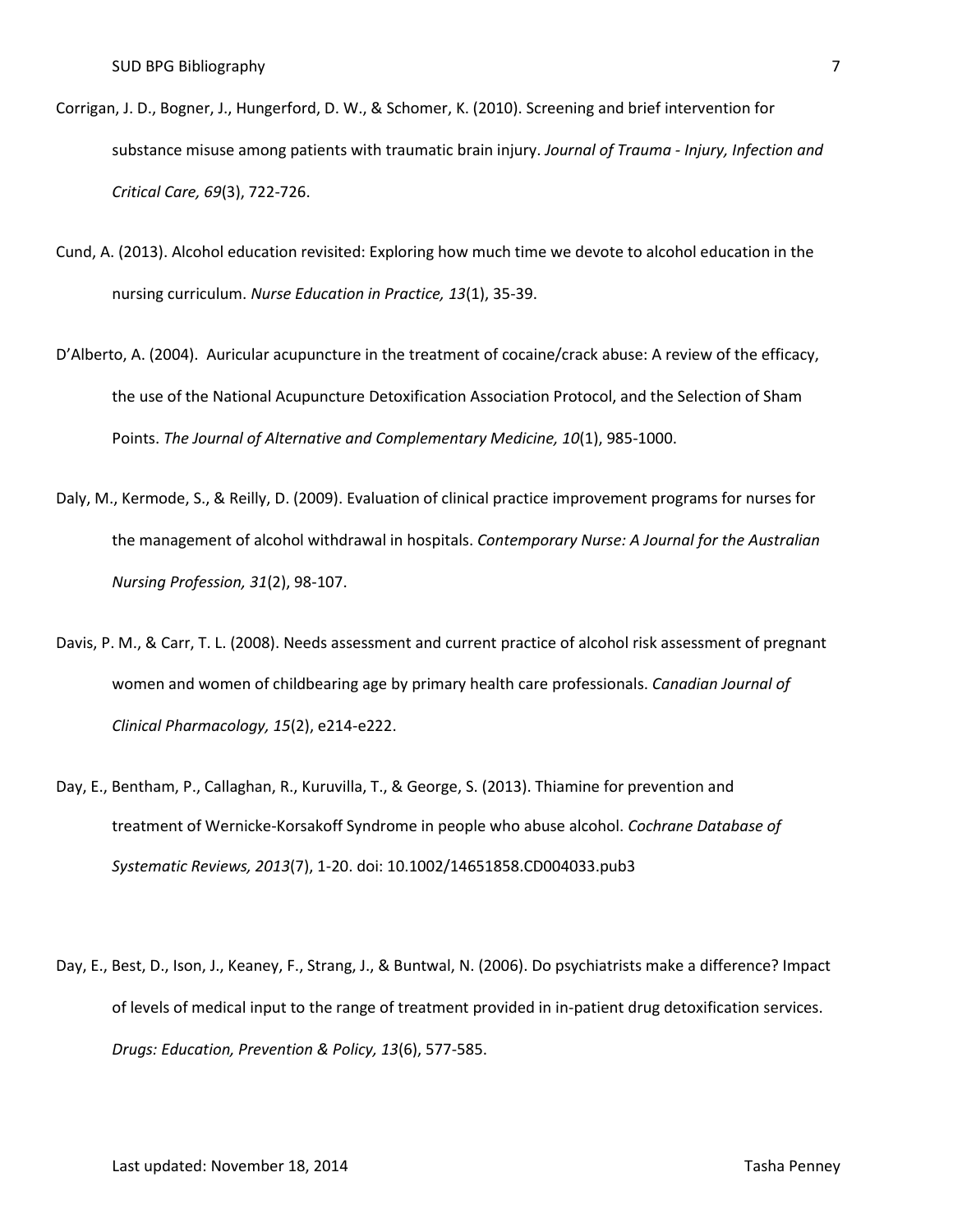- Corrigan, J. D., Bogner, J., Hungerford, D. W., & Schomer, K. (2010). Screening and brief intervention for substance misuse among patients with traumatic brain injury. *Journal of Trauma - Injury, Infection and Critical Care, 69*(3), 722-726.
- Cund, A. (2013). Alcohol education revisited: Exploring how much time we devote to alcohol education in the nursing curriculum. *Nurse Education in Practice, 13*(1), 35-39.
- D'Alberto, A. (2004). Auricular acupuncture in the treatment of cocaine/crack abuse: A review of the efficacy, the use of the National Acupuncture Detoxification Association Protocol, and the Selection of Sham Points. *The Journal of Alternative and Complementary Medicine, 10*(1), 985-1000.
- Daly, M., Kermode, S., & Reilly, D. (2009). Evaluation of clinical practice improvement programs for nurses for the management of alcohol withdrawal in hospitals. *Contemporary Nurse: A Journal for the Australian Nursing Profession, 31*(2), 98-107.
- Davis, P. M., & Carr, T. L. (2008). Needs assessment and current practice of alcohol risk assessment of pregnant women and women of childbearing age by primary health care professionals. *Canadian Journal of Clinical Pharmacology, 15*(2), e214-e222.
- Day, E., Bentham, P., Callaghan, R., Kuruvilla, T., & George, S. (2013). Thiamine for prevention and treatment of Wernicke-Korsakoff Syndrome in people who abuse alcohol. *Cochrane Database of Systematic Reviews, 2013*(7), 1-20. doi: 10.1002/14651858.CD004033.pub3
- Day, E., Best, D., Ison, J., Keaney, F., Strang, J., & Buntwal, N. (2006). Do psychiatrists make a difference? Impact of levels of medical input to the range of treatment provided in in-patient drug detoxification services. *Drugs: Education, Prevention & Policy, 13*(6), 577-585.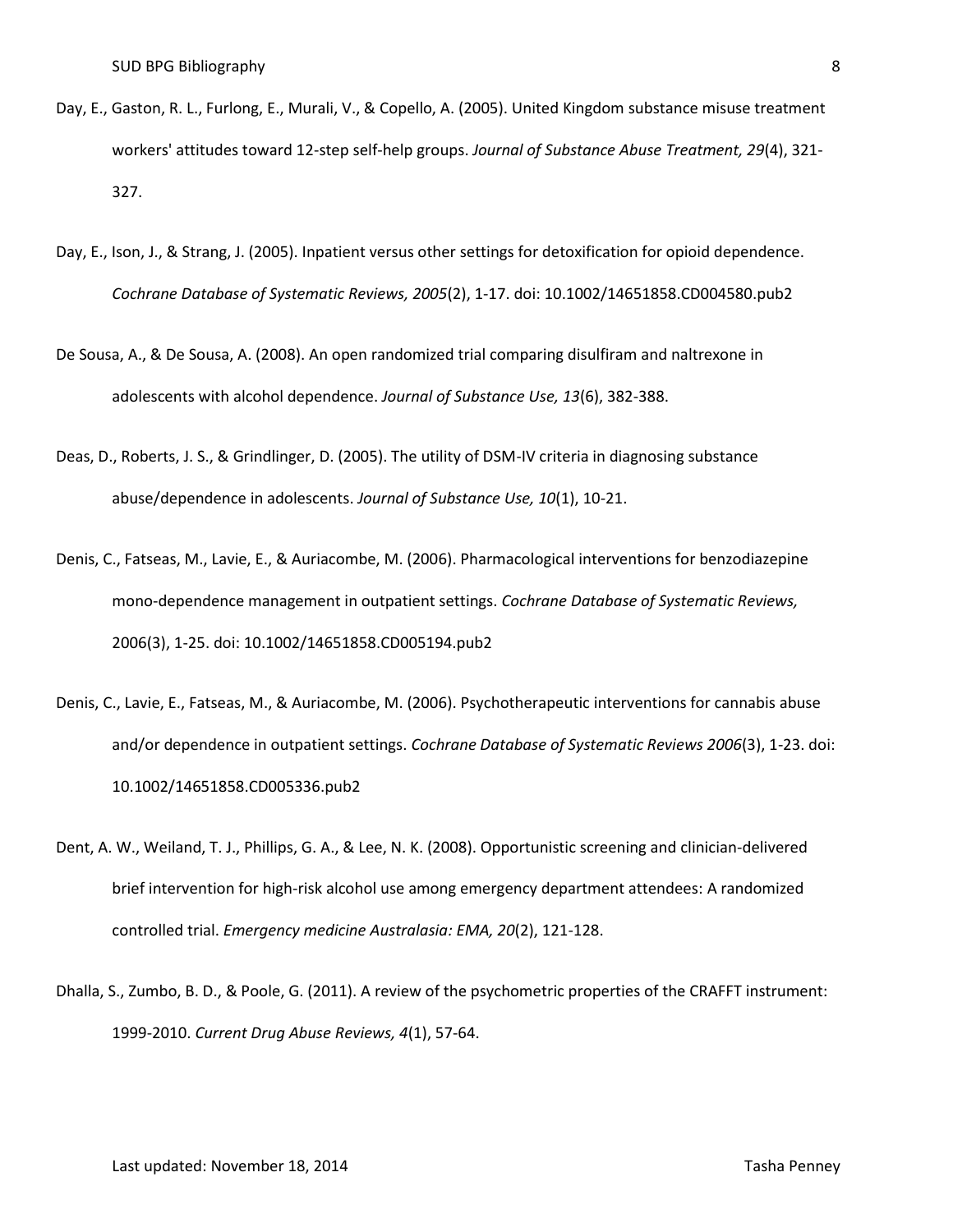- Day, E., Gaston, R. L., Furlong, E., Murali, V., & Copello, A. (2005). United Kingdom substance misuse treatment workers' attitudes toward 12-step self-help groups. *Journal of Substance Abuse Treatment, 29*(4), 321- 327.
- Day, E., Ison, J., & Strang, J. (2005). Inpatient versus other settings for detoxification for opioid dependence. *Cochrane Database of Systematic Reviews, 2005*(2), 1-17. doi: 10.1002/14651858.CD004580.pub2
- De Sousa, A., & De Sousa, A. (2008). An open randomized trial comparing disulfiram and naltrexone in adolescents with alcohol dependence. *Journal of Substance Use, 13*(6), 382-388.
- Deas, D., Roberts, J. S., & Grindlinger, D. (2005). The utility of DSM-IV criteria in diagnosing substance abuse/dependence in adolescents. *Journal of Substance Use, 10*(1), 10-21.
- Denis, C., Fatseas, M., Lavie, E., & Auriacombe, M. (2006). Pharmacological interventions for benzodiazepine mono-dependence management in outpatient settings. *Cochrane Database of Systematic Reviews,*  2006(3), 1-25. doi: 10.1002/14651858.CD005194.pub2
- Denis, C., Lavie, E., Fatseas, M., & Auriacombe, M. (2006). Psychotherapeutic interventions for cannabis abuse and/or dependence in outpatient settings. *Cochrane Database of Systematic Reviews 2006*(3), 1-23. doi: 10.1002/14651858.CD005336.pub2
- Dent, A. W., Weiland, T. J., Phillips, G. A., & Lee, N. K. (2008). Opportunistic screening and clinician-delivered brief intervention for high-risk alcohol use among emergency department attendees: A randomized controlled trial. *Emergency medicine Australasia: EMA, 20*(2), 121-128.
- Dhalla, S., Zumbo, B. D., & Poole, G. (2011). A review of the psychometric properties of the CRAFFT instrument: 1999-2010. *Current Drug Abuse Reviews, 4*(1), 57-64.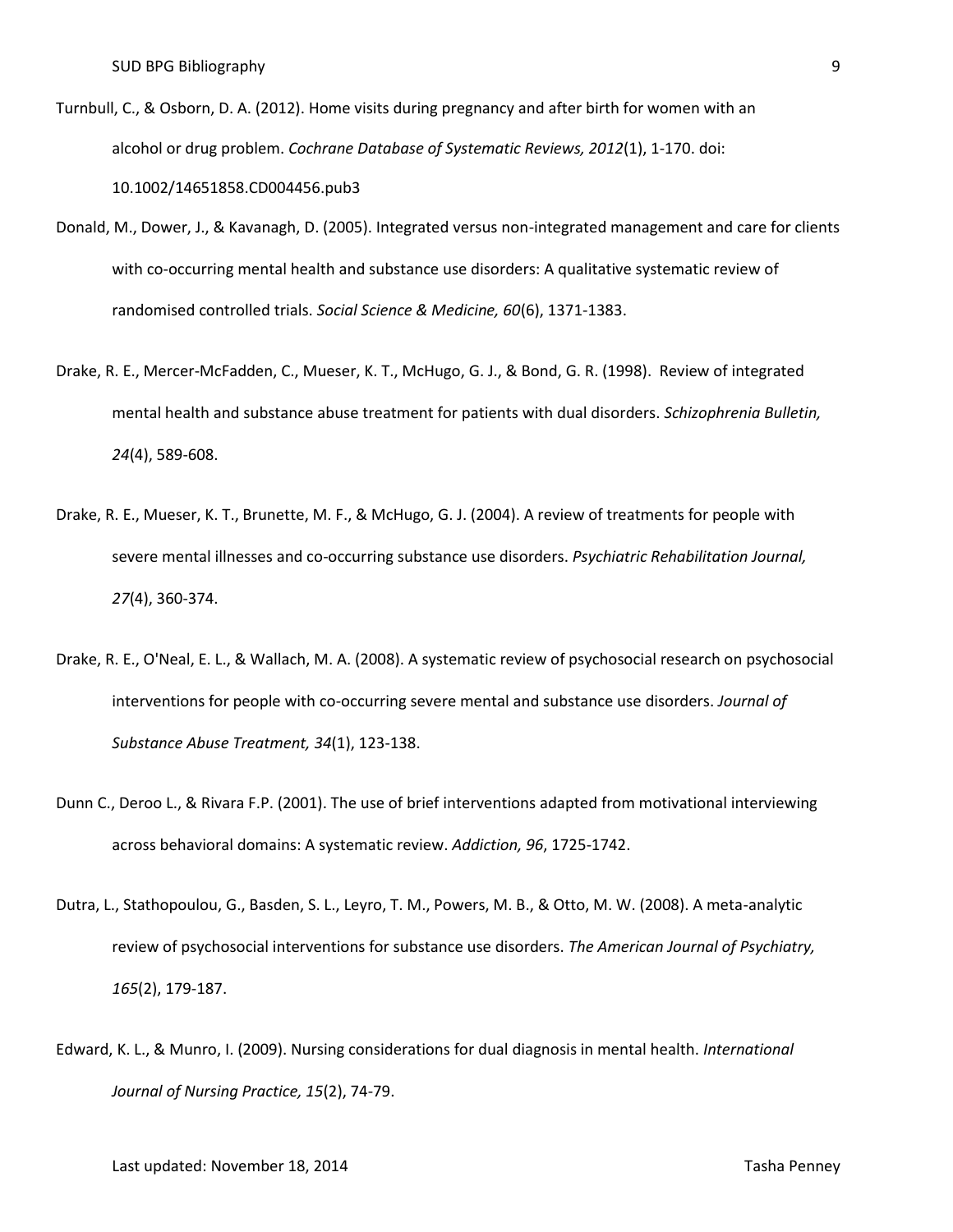- Turnbull, C., & Osborn, D. A. (2012). Home visits during pregnancy and after birth for women with an alcohol or drug problem. *Cochrane Database of Systematic Reviews, 2012*(1), 1-170. doi: 10.1002/14651858.CD004456.pub3
- Donald, M., Dower, J., & Kavanagh, D. (2005). Integrated versus non-integrated management and care for clients with co-occurring mental health and substance use disorders: A qualitative systematic review of randomised controlled trials. *Social Science & Medicine, 60*(6), 1371-1383.
- Drake, R. E., Mercer-McFadden, C., Mueser, K. T., McHugo, G. J., & Bond, G. R. (1998). Review of integrated mental health and substance abuse treatment for patients with dual disorders. *Schizophrenia Bulletin, 24*(4), 589-608.
- Drake, R. E., Mueser, K. T., Brunette, M. F., & McHugo, G. J. (2004). A review of treatments for people with severe mental illnesses and co-occurring substance use disorders. *Psychiatric Rehabilitation Journal, 27*(4), 360-374.
- Drake, R. E., O'Neal, E. L., & Wallach, M. A. (2008). A systematic review of psychosocial research on psychosocial interventions for people with co-occurring severe mental and substance use disorders. *Journal of Substance Abuse Treatment, 34*(1), 123-138.
- Dunn C., Deroo L., & Rivara F.P. (2001). The use of brief interventions adapted from motivational interviewing across behavioral domains: A systematic review. *Addiction, 96*, 1725-1742.
- Dutra, L., Stathopoulou, G., Basden, S. L., Leyro, T. M., Powers, M. B., & Otto, M. W. (2008). A meta-analytic review of psychosocial interventions for substance use disorders. *The American Journal of Psychiatry, 165*(2), 179-187.
- Edward, K. L., & Munro, I. (2009). Nursing considerations for dual diagnosis in mental health. *International Journal of Nursing Practice, 15*(2), 74-79.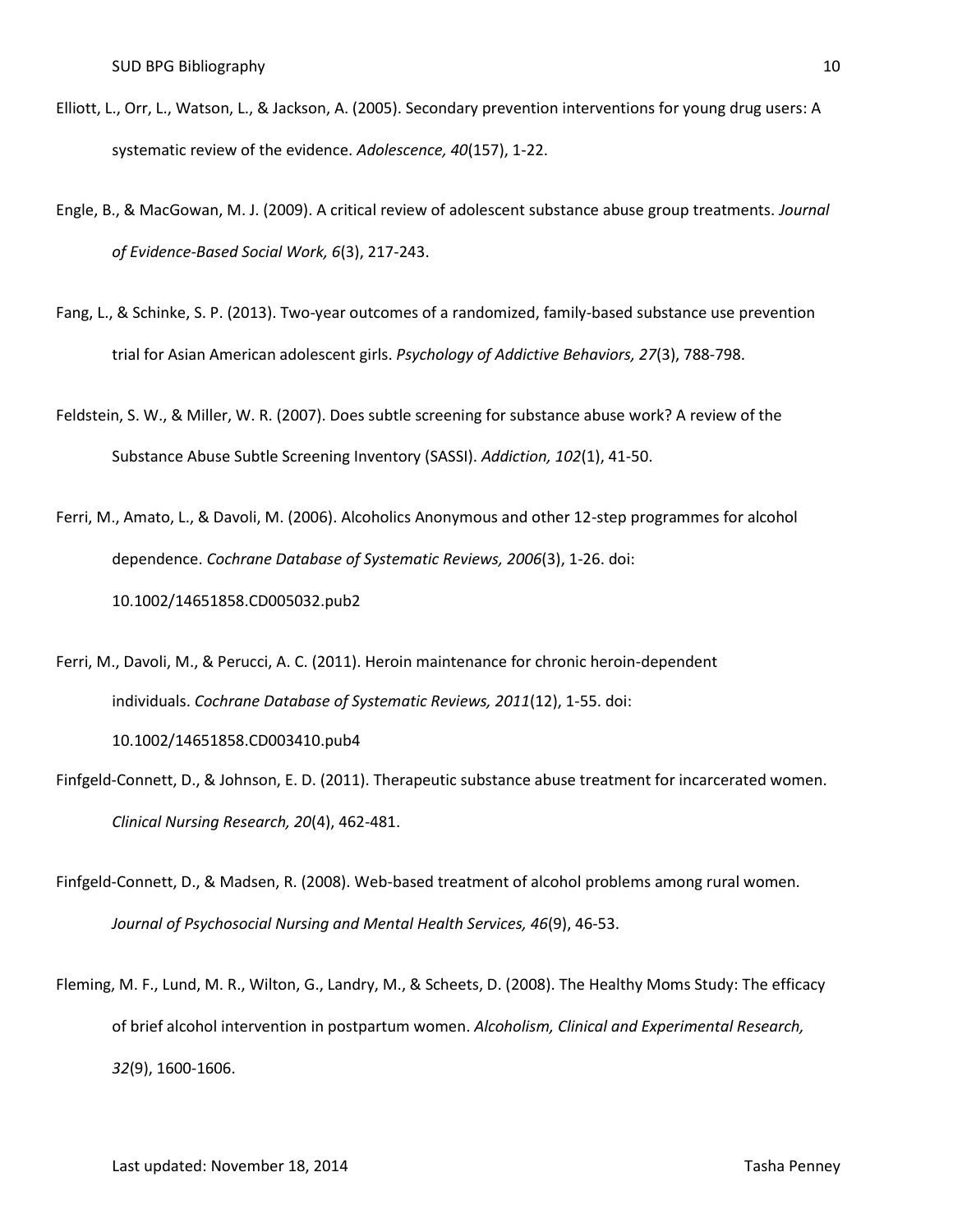- Elliott, L., Orr, L., Watson, L., & Jackson, A. (2005). Secondary prevention interventions for young drug users: A systematic review of the evidence. *Adolescence, 40*(157), 1-22.
- Engle, B., & MacGowan, M. J. (2009). A critical review of adolescent substance abuse group treatments. *Journal of Evidence-Based Social Work, 6*(3), 217-243.
- Fang, L., & Schinke, S. P. (2013). Two-year outcomes of a randomized, family-based substance use prevention trial for Asian American adolescent girls. *Psychology of Addictive Behaviors, 27*(3), 788-798.
- Feldstein, S. W., & Miller, W. R. (2007). Does subtle screening for substance abuse work? A review of the Substance Abuse Subtle Screening Inventory (SASSI). *Addiction, 102*(1), 41-50.

Ferri, M., Amato, L., & Davoli, M. (2006). Alcoholics Anonymous and other 12-step programmes for alcohol dependence. *Cochrane Database of Systematic Reviews, 2006*(3), 1-26. doi: 10.1002/14651858.CD005032.pub2

Ferri, M., Davoli, M., & Perucci, A. C. (2011). Heroin maintenance for chronic heroin-dependent individuals. *Cochrane Database of Systematic Reviews, 2011*(12), 1-55. doi: 10.1002/14651858.CD003410.pub4

- Finfgeld-Connett, D., & Johnson, E. D. (2011). Therapeutic substance abuse treatment for incarcerated women. *Clinical Nursing Research, 20*(4), 462-481.
- Finfgeld-Connett, D., & Madsen, R. (2008). Web-based treatment of alcohol problems among rural women. *Journal of Psychosocial Nursing and Mental Health Services, 46*(9), 46-53.
- Fleming, M. F., Lund, M. R., Wilton, G., Landry, M., & Scheets, D. (2008). The Healthy Moms Study: The efficacy of brief alcohol intervention in postpartum women. *Alcoholism, Clinical and Experimental Research, 32*(9), 1600-1606.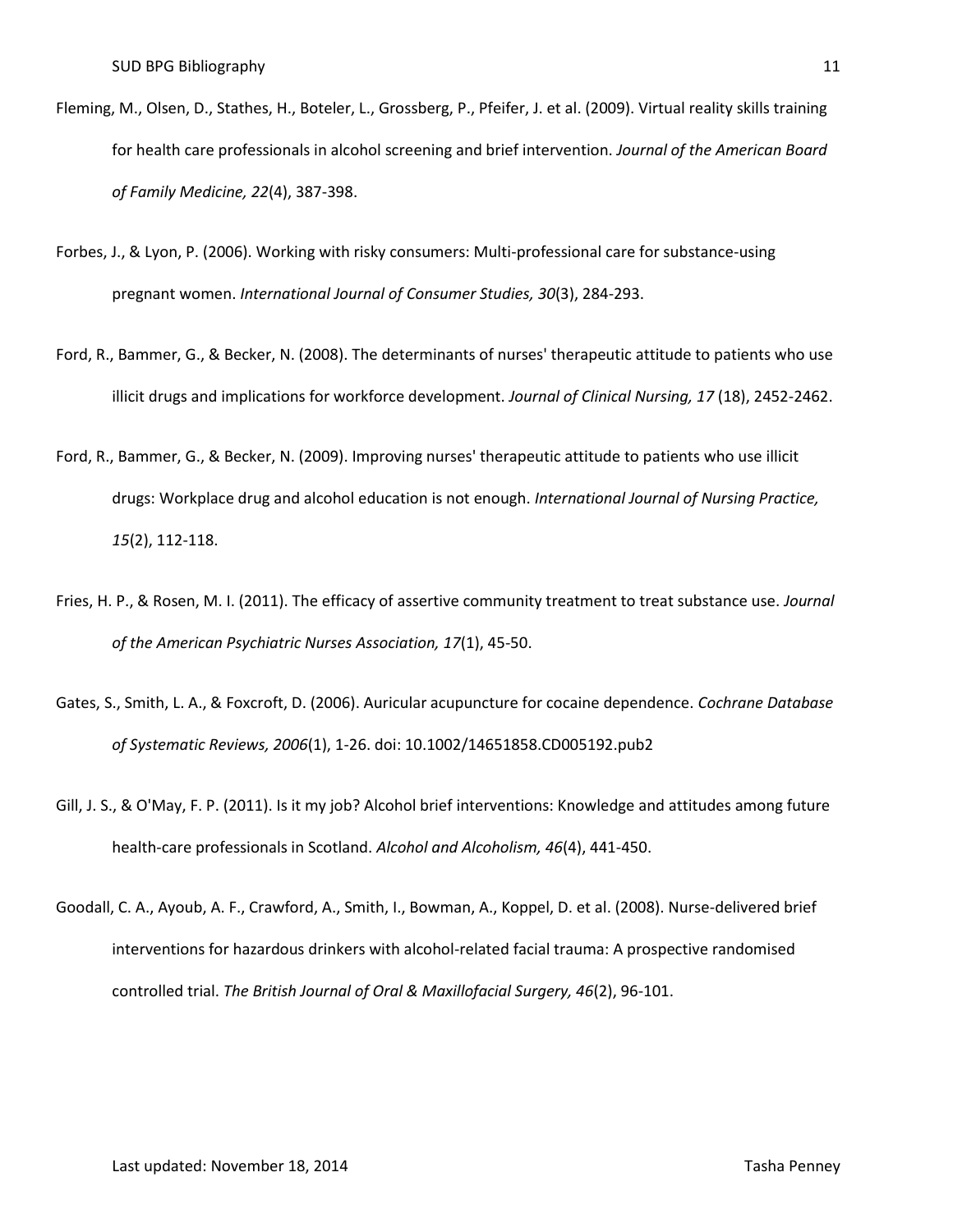- Fleming, M., Olsen, D., Stathes, H., Boteler, L., Grossberg, P., Pfeifer, J. et al. (2009). Virtual reality skills training for health care professionals in alcohol screening and brief intervention. *Journal of the American Board of Family Medicine, 22*(4), 387-398.
- Forbes, J., & Lyon, P. (2006). Working with risky consumers: Multi-professional care for substance-using pregnant women. *International Journal of Consumer Studies, 30*(3), 284-293.
- Ford, R., Bammer, G., & Becker, N. (2008). The determinants of nurses' therapeutic attitude to patients who use illicit drugs and implications for workforce development. *Journal of Clinical Nursing, 17* (18), 2452-2462.
- Ford, R., Bammer, G., & Becker, N. (2009). Improving nurses' therapeutic attitude to patients who use illicit drugs: Workplace drug and alcohol education is not enough. *International Journal of Nursing Practice, 15*(2), 112-118.
- Fries, H. P., & Rosen, M. I. (2011). The efficacy of assertive community treatment to treat substance use. *Journal of the American Psychiatric Nurses Association, 17*(1), 45-50.
- Gates, S., Smith, L. A., & Foxcroft, D. (2006). Auricular acupuncture for cocaine dependence. *Cochrane Database of Systematic Reviews, 2006*(1), 1-26. doi: 10.1002/14651858.CD005192.pub2
- Gill, J. S., & O'May, F. P. (2011). Is it my job? Alcohol brief interventions: Knowledge and attitudes among future health-care professionals in Scotland. *Alcohol and Alcoholism, 46*(4), 441-450.
- Goodall, C. A., Ayoub, A. F., Crawford, A., Smith, I., Bowman, A., Koppel, D. et al. (2008). Nurse-delivered brief interventions for hazardous drinkers with alcohol-related facial trauma: A prospective randomised controlled trial. *The British Journal of Oral & Maxillofacial Surgery, 46*(2), 96-101.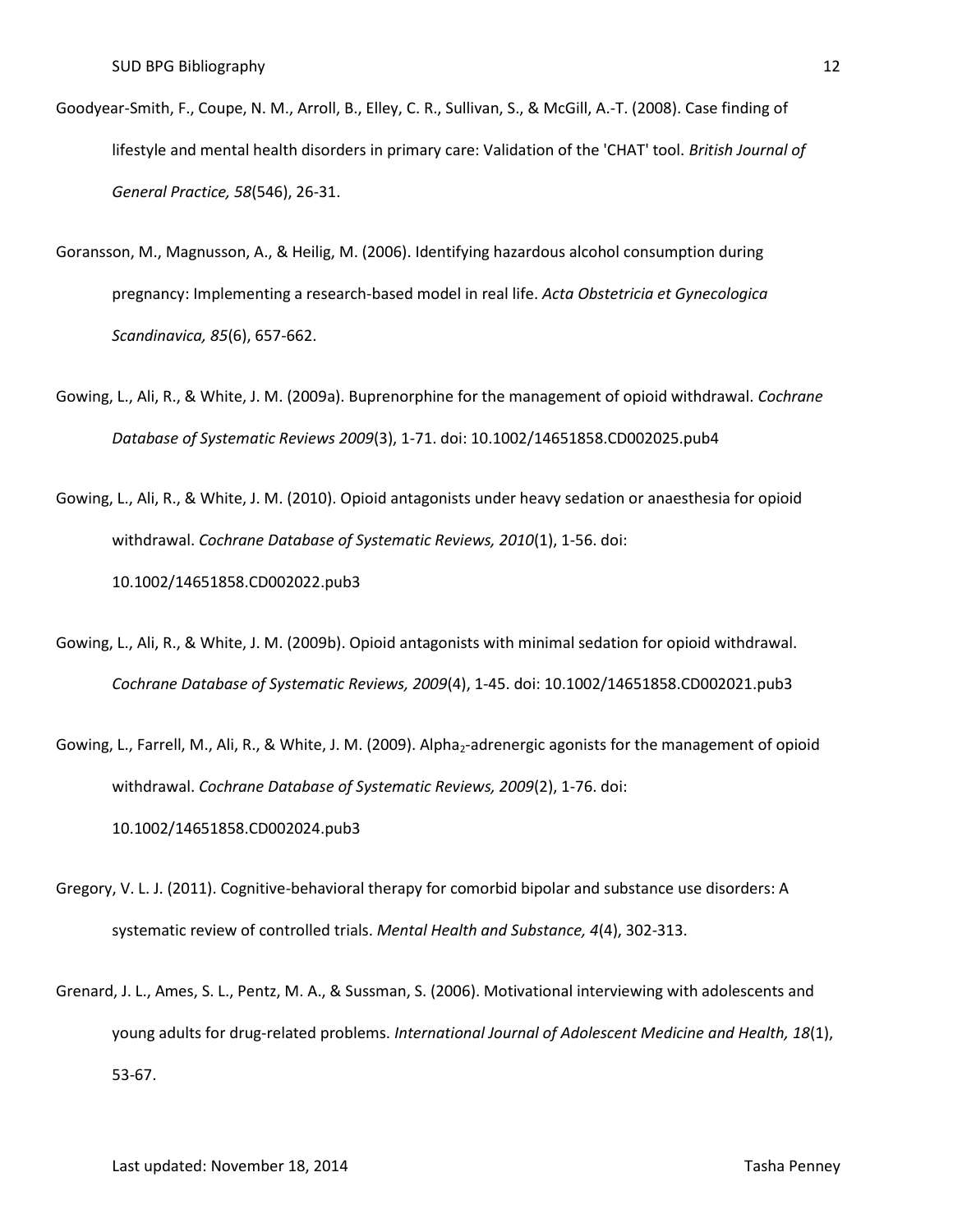- Goodyear-Smith, F., Coupe, N. M., Arroll, B., Elley, C. R., Sullivan, S., & McGill, A.-T. (2008). Case finding of lifestyle and mental health disorders in primary care: Validation of the 'CHAT' tool. *British Journal of General Practice, 58*(546), 26-31.
- Goransson, M., Magnusson, A., & Heilig, M. (2006). Identifying hazardous alcohol consumption during pregnancy: Implementing a research-based model in real life. *Acta Obstetricia et Gynecologica Scandinavica, 85*(6), 657-662.
- Gowing, L., Ali, R., & White, J. M. (2009a). Buprenorphine for the management of opioid withdrawal. *Cochrane Database of Systematic Reviews 2009*(3), 1-71. doi: 10.1002/14651858.CD002025.pub4

Gowing, L., Ali, R., & White, J. M. (2010). Opioid antagonists under heavy sedation or anaesthesia for opioid withdrawal. *Cochrane Database of Systematic Reviews, 2010*(1), 1-56. doi: 10.1002/14651858.CD002022.pub3

Gowing, L., Ali, R., & White, J. M. (2009b). Opioid antagonists with minimal sedation for opioid withdrawal. *Cochrane Database of Systematic Reviews, 2009*(4), 1-45. doi: 10.1002/14651858.CD002021.pub3

Gowing, L., Farrell, M., Ali, R., & White, J. M. (2009). Alpha<sub>2</sub>-adrenergic agonists for the management of opioid withdrawal. *Cochrane Database of Systematic Reviews, 2009*(2), 1-76. doi: 10.1002/14651858.CD002024.pub3

- Gregory, V. L. J. (2011). Cognitive-behavioral therapy for comorbid bipolar and substance use disorders: A systematic review of controlled trials. *Mental Health and Substance, 4*(4), 302-313.
- Grenard, J. L., Ames, S. L., Pentz, M. A., & Sussman, S. (2006). Motivational interviewing with adolescents and young adults for drug-related problems. *International Journal of Adolescent Medicine and Health, 18*(1), 53-67.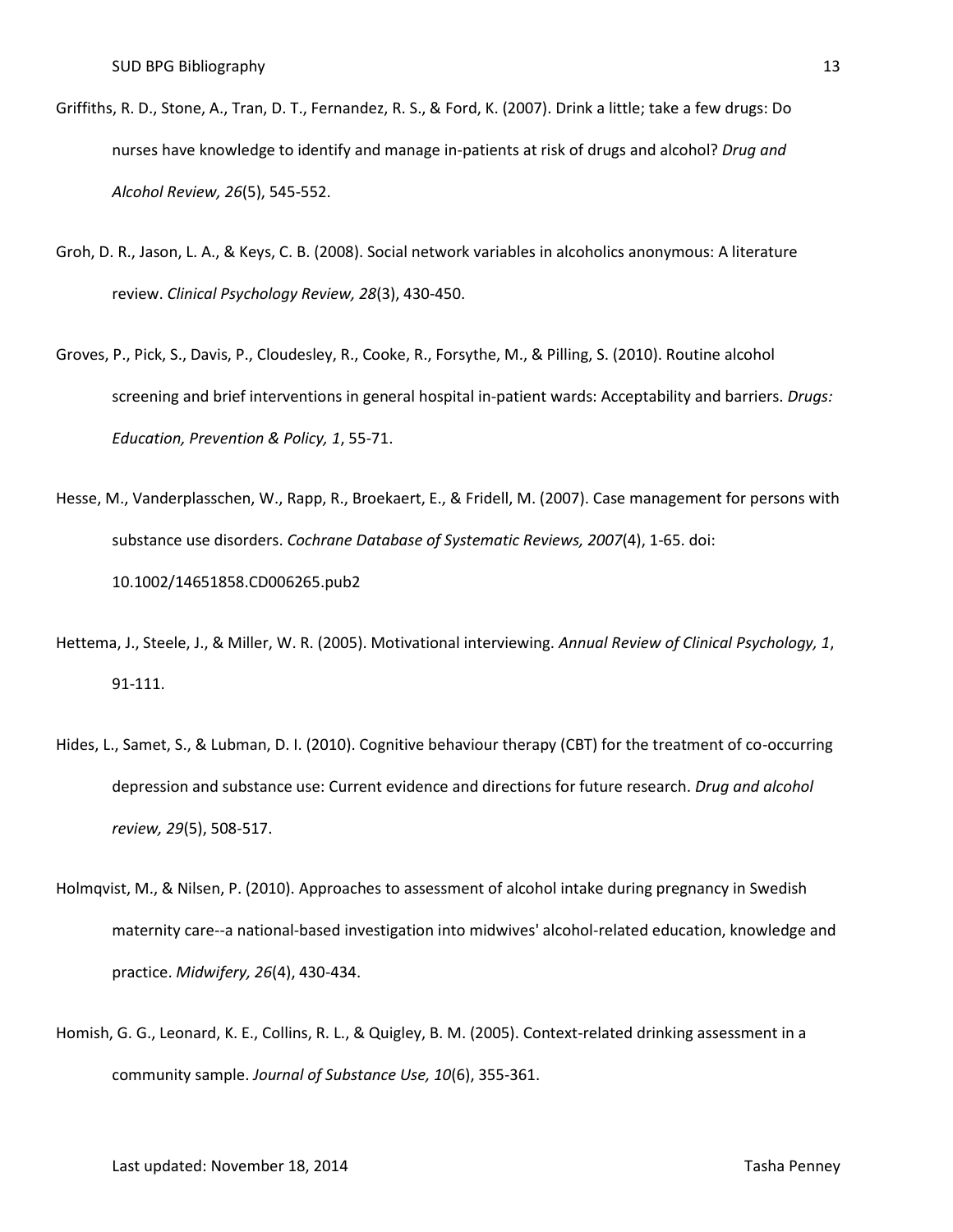- Griffiths, R. D., Stone, A., Tran, D. T., Fernandez, R. S., & Ford, K. (2007). Drink a little; take a few drugs: Do nurses have knowledge to identify and manage in-patients at risk of drugs and alcohol? *Drug and Alcohol Review, 26*(5), 545-552.
- Groh, D. R., Jason, L. A., & Keys, C. B. (2008). Social network variables in alcoholics anonymous: A literature review. *Clinical Psychology Review, 28*(3), 430-450.
- Groves, P., Pick, S., Davis, P., Cloudesley, R., Cooke, R., Forsythe, M., & Pilling, S. (2010). Routine alcohol screening and brief interventions in general hospital in-patient wards: Acceptability and barriers. *Drugs: Education, Prevention & Policy, 1*, 55-71.
- Hesse, M., Vanderplasschen, W., Rapp, R., Broekaert, E., & Fridell, M. (2007). Case management for persons with substance use disorders. *Cochrane Database of Systematic Reviews, 2007*(4), 1-65. doi: 10.1002/14651858.CD006265.pub2
- Hettema, J., Steele, J., & Miller, W. R. (2005). Motivational interviewing. *Annual Review of Clinical Psychology, 1*, 91-111.
- Hides, L., Samet, S., & Lubman, D. I. (2010). Cognitive behaviour therapy (CBT) for the treatment of co-occurring depression and substance use: Current evidence and directions for future research. *Drug and alcohol review, 29*(5), 508-517.
- Holmqvist, M., & Nilsen, P. (2010). Approaches to assessment of alcohol intake during pregnancy in Swedish maternity care--a national-based investigation into midwives' alcohol-related education, knowledge and practice. *Midwifery, 26*(4), 430-434.
- Homish, G. G., Leonard, K. E., Collins, R. L., & Quigley, B. M. (2005). Context-related drinking assessment in a community sample. *Journal of Substance Use, 10*(6), 355-361.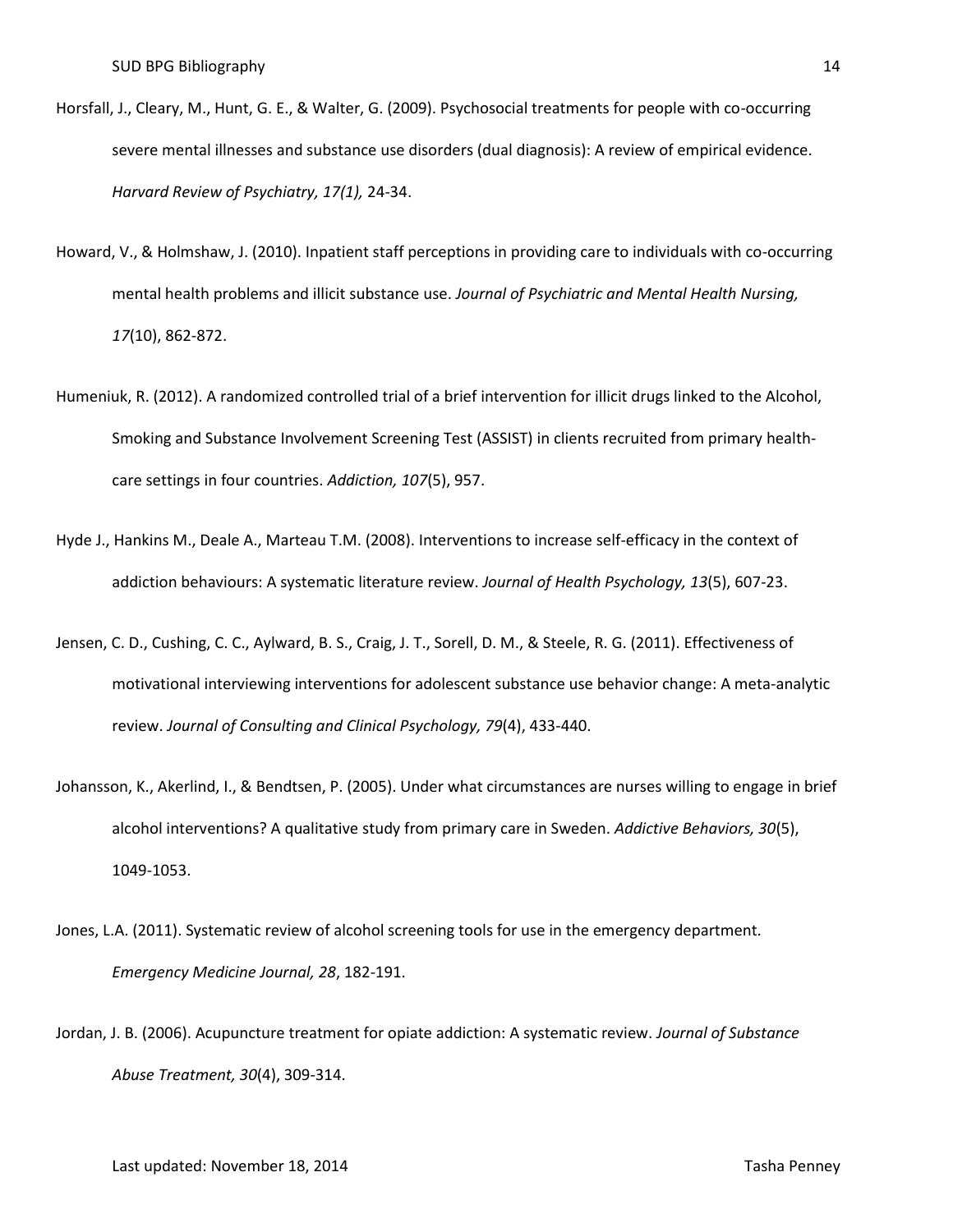- Horsfall, J., Cleary, M., Hunt, G. E., & Walter, G. (2009). Psychosocial treatments for people with co-occurring severe mental illnesses and substance use disorders (dual diagnosis): A review of empirical evidence. *Harvard Review of Psychiatry, 17(1),* 24-34.
- Howard, V., & Holmshaw, J. (2010). Inpatient staff perceptions in providing care to individuals with co-occurring mental health problems and illicit substance use. *Journal of Psychiatric and Mental Health Nursing, 17*(10), 862-872.
- Humeniuk, R. (2012). A randomized controlled trial of a brief intervention for illicit drugs linked to the Alcohol, Smoking and Substance Involvement Screening Test (ASSIST) in clients recruited from primary healthcare settings in four countries. *Addiction, 107*(5), 957.
- Hyde J., Hankins M., Deale A., Marteau T.M. (2008). Interventions to increase self-efficacy in the context of addiction behaviours: A systematic literature review. *Journal of Health Psychology, 13*(5), 607-23.
- Jensen, C. D., Cushing, C. C., Aylward, B. S., Craig, J. T., Sorell, D. M., & Steele, R. G. (2011). Effectiveness of motivational interviewing interventions for adolescent substance use behavior change: A meta-analytic review. *Journal of Consulting and Clinical Psychology, 79*(4), 433-440.
- Johansson, K., Akerlind, I., & Bendtsen, P. (2005). Under what circumstances are nurses willing to engage in brief alcohol interventions? A qualitative study from primary care in Sweden. *Addictive Behaviors, 30*(5), 1049-1053.
- Jones, L.A. (2011). Systematic review of alcohol screening tools for use in the emergency department*. Emergency Medicine Journal, 28*, 182-191.
- Jordan, J. B. (2006). Acupuncture treatment for opiate addiction: A systematic review. *Journal of Substance Abuse Treatment, 30*(4), 309-314.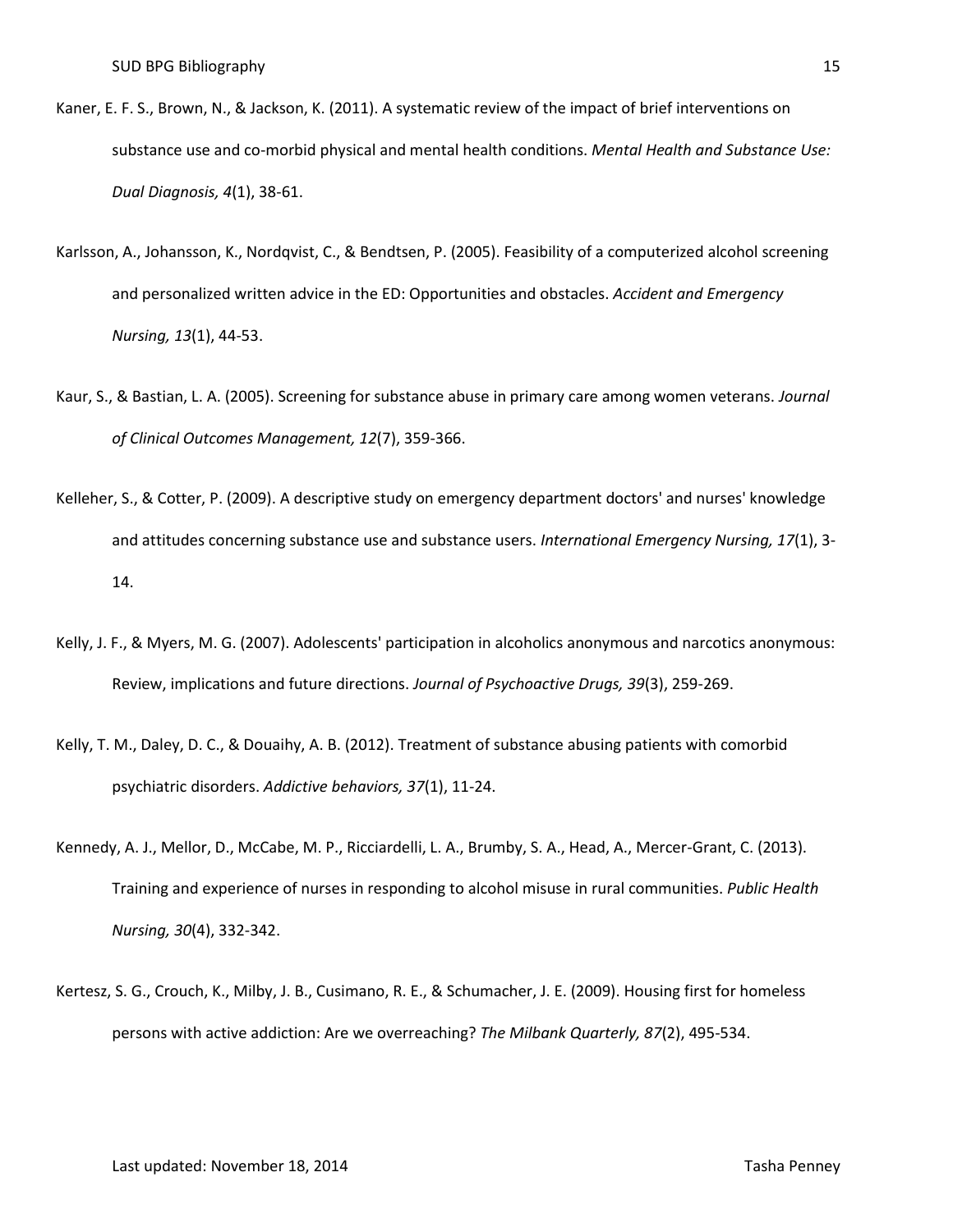- Kaner, E. F. S., Brown, N., & Jackson, K. (2011). A systematic review of the impact of brief interventions on substance use and co-morbid physical and mental health conditions. *Mental Health and Substance Use: Dual Diagnosis, 4*(1), 38-61.
- Karlsson, A., Johansson, K., Nordqvist, C., & Bendtsen, P. (2005). Feasibility of a computerized alcohol screening and personalized written advice in the ED: Opportunities and obstacles. *Accident and Emergency Nursing, 13*(1), 44-53.
- Kaur, S., & Bastian, L. A. (2005). Screening for substance abuse in primary care among women veterans. *Journal of Clinical Outcomes Management, 12*(7), 359-366.
- Kelleher, S., & Cotter, P. (2009). A descriptive study on emergency department doctors' and nurses' knowledge and attitudes concerning substance use and substance users. *International Emergency Nursing, 17*(1), 3- 14.
- Kelly, J. F., & Myers, M. G. (2007). Adolescents' participation in alcoholics anonymous and narcotics anonymous: Review, implications and future directions. *Journal of Psychoactive Drugs, 39*(3), 259-269.
- Kelly, T. M., Daley, D. C., & Douaihy, A. B. (2012). Treatment of substance abusing patients with comorbid psychiatric disorders. *Addictive behaviors, 37*(1), 11-24.
- Kennedy, A. J., Mellor, D., McCabe, M. P., Ricciardelli, L. A., Brumby, S. A., Head, A., Mercer-Grant, C. (2013). Training and experience of nurses in responding to alcohol misuse in rural communities. *Public Health Nursing, 30*(4), 332-342.
- Kertesz, S. G., Crouch, K., Milby, J. B., Cusimano, R. E., & Schumacher, J. E. (2009). Housing first for homeless persons with active addiction: Are we overreaching? *The Milbank Quarterly, 87*(2), 495-534.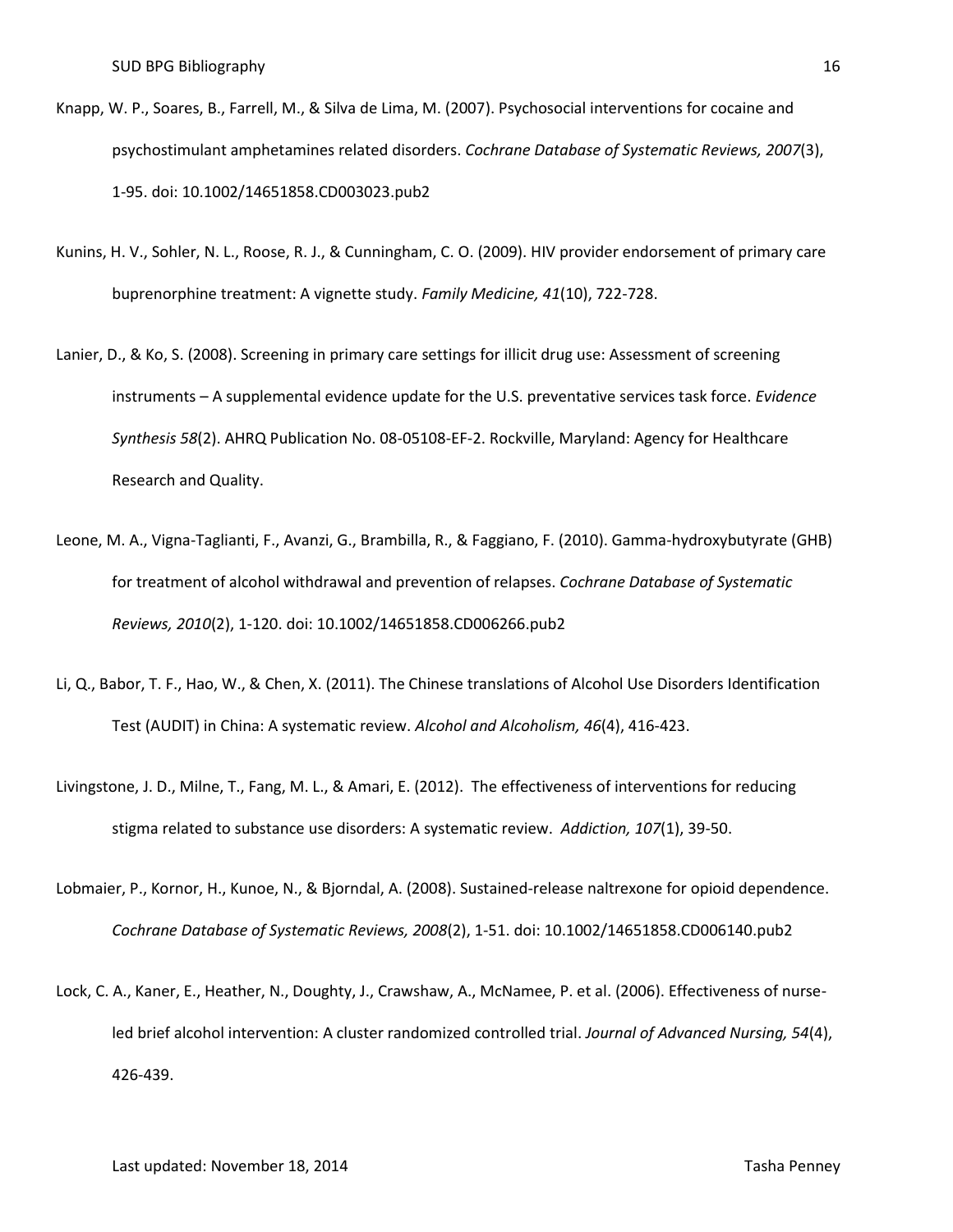- Knapp, W. P., Soares, B., Farrell, M., & Silva de Lima, M. (2007). Psychosocial interventions for cocaine and psychostimulant amphetamines related disorders. *Cochrane Database of Systematic Reviews, 2007*(3), 1-95. doi: 10.1002/14651858.CD003023.pub2
- Kunins, H. V., Sohler, N. L., Roose, R. J., & Cunningham, C. O. (2009). HIV provider endorsement of primary care buprenorphine treatment: A vignette study. *Family Medicine, 41*(10), 722-728.
- Lanier, D., & Ko, S. (2008). Screening in primary care settings for illicit drug use: Assessment of screening instruments – A supplemental evidence update for the U.S. preventative services task force. *Evidence Synthesis 58*(2). AHRQ Publication No. 08-05108-EF-2. Rockville, Maryland: Agency for Healthcare Research and Quality.
- Leone, M. A., Vigna-Taglianti, F., Avanzi, G., Brambilla, R., & Faggiano, F. (2010). Gamma-hydroxybutyrate (GHB) for treatment of alcohol withdrawal and prevention of relapses. *Cochrane Database of Systematic Reviews, 2010*(2), 1-120. doi: 10.1002/14651858.CD006266.pub2
- Li, Q., Babor, T. F., Hao, W., & Chen, X. (2011). The Chinese translations of Alcohol Use Disorders Identification Test (AUDIT) in China: A systematic review. *Alcohol and Alcoholism, 46*(4), 416-423.
- Livingstone, J. D., Milne, T., Fang, M. L., & Amari, E. (2012). The effectiveness of interventions for reducing stigma related to substance use disorders: A systematic review. *Addiction, 107*(1), 39-50.
- Lobmaier, P., Kornor, H., Kunoe, N., & Bjorndal, A. (2008). Sustained-release naltrexone for opioid dependence. *Cochrane Database of Systematic Reviews, 2008*(2), 1-51. doi: 10.1002/14651858.CD006140.pub2
- Lock, C. A., Kaner, E., Heather, N., Doughty, J., Crawshaw, A., McNamee, P. et al. (2006). Effectiveness of nurseled brief alcohol intervention: A cluster randomized controlled trial. *Journal of Advanced Nursing, 54*(4), 426-439.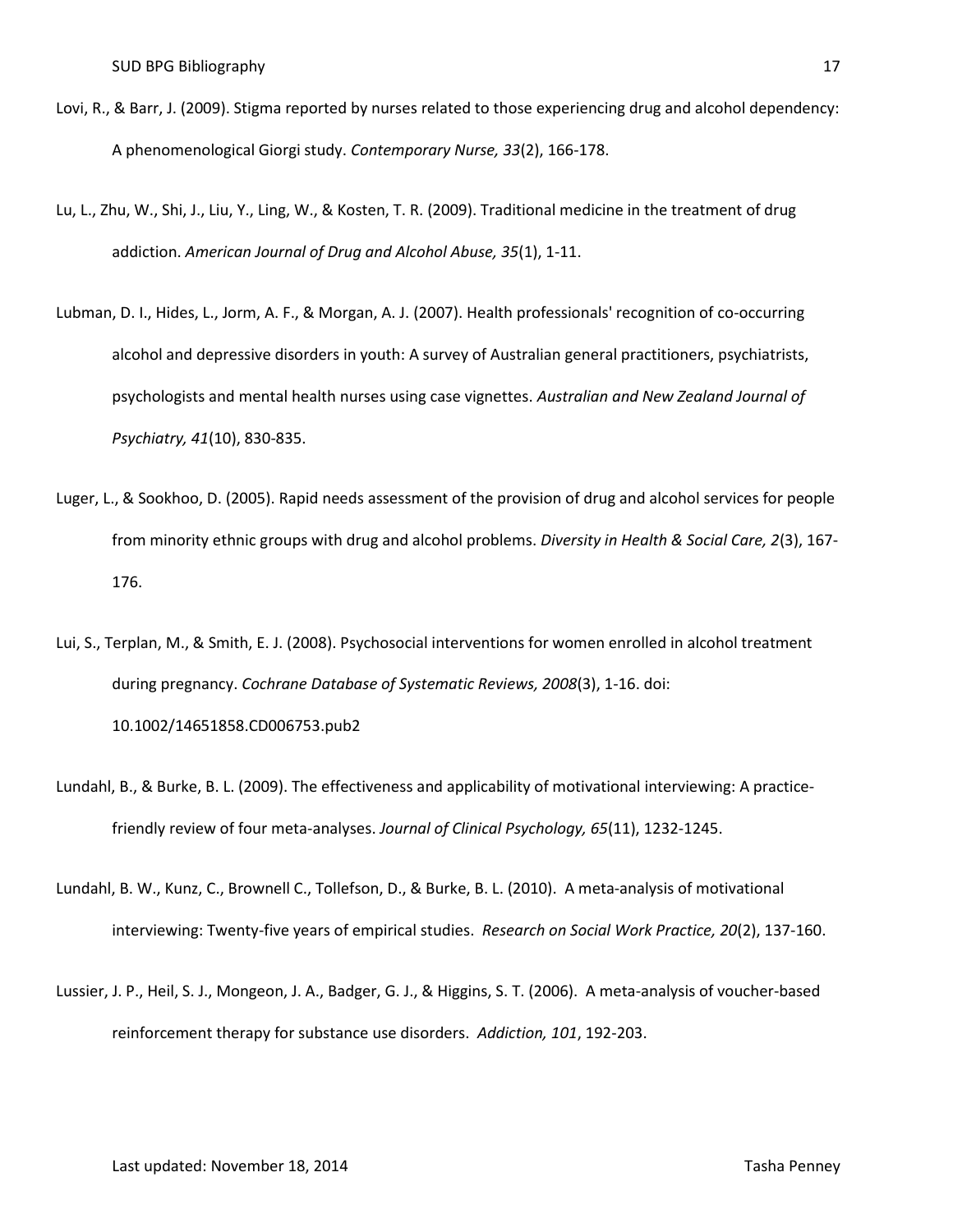- Lovi, R., & Barr, J. (2009). Stigma reported by nurses related to those experiencing drug and alcohol dependency: A phenomenological Giorgi study. *Contemporary Nurse, 33*(2), 166-178.
- Lu, L., Zhu, W., Shi, J., Liu, Y., Ling, W., & Kosten, T. R. (2009). Traditional medicine in the treatment of drug addiction. *American Journal of Drug and Alcohol Abuse, 35*(1), 1-11.
- Lubman, D. I., Hides, L., Jorm, A. F., & Morgan, A. J. (2007). Health professionals' recognition of co-occurring alcohol and depressive disorders in youth: A survey of Australian general practitioners, psychiatrists, psychologists and mental health nurses using case vignettes. *Australian and New Zealand Journal of Psychiatry, 41*(10), 830-835.
- Luger, L., & Sookhoo, D. (2005). Rapid needs assessment of the provision of drug and alcohol services for people from minority ethnic groups with drug and alcohol problems. *Diversity in Health & Social Care, 2*(3), 167- 176.
- Lui, S., Terplan, M., & Smith, E. J. (2008). Psychosocial interventions for women enrolled in alcohol treatment during pregnancy. *Cochrane Database of Systematic Reviews, 2008*(3), 1-16. doi: 10.1002/14651858.CD006753.pub2
- Lundahl, B., & Burke, B. L. (2009). The effectiveness and applicability of motivational interviewing: A practicefriendly review of four meta-analyses. *Journal of Clinical Psychology, 65*(11), 1232-1245.
- Lundahl, B. W., Kunz, C., Brownell C., Tollefson, D., & Burke, B. L. (2010). A meta-analysis of motivational interviewing: Twenty-five years of empirical studies. *Research on Social Work Practice, 20*(2), 137-160.
- Lussier, J. P., Heil, S. J., Mongeon, J. A., Badger, G. J., & Higgins, S. T. (2006). A meta-analysis of voucher-based reinforcement therapy for substance use disorders. *Addiction, 101*, 192-203.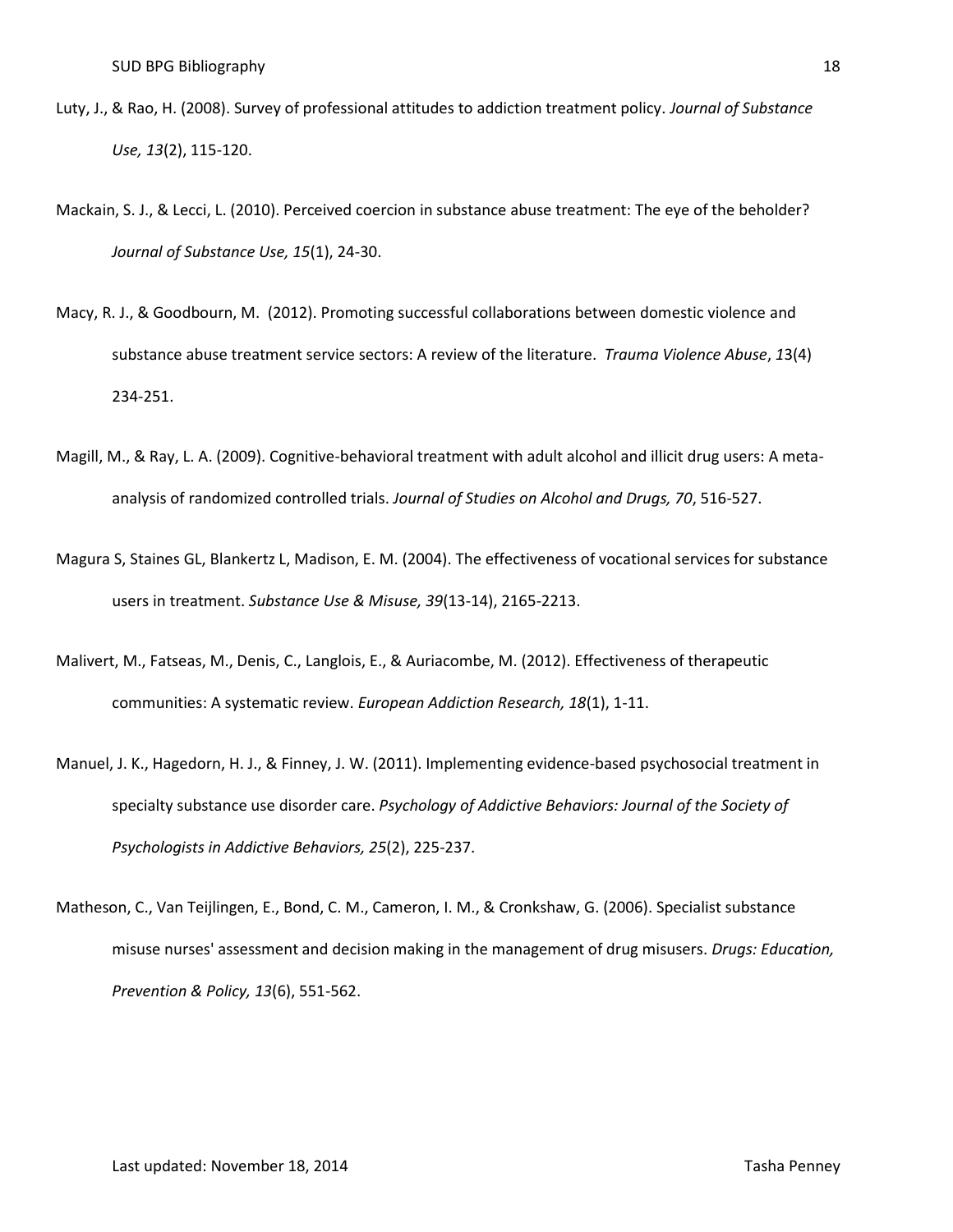- Luty, J., & Rao, H. (2008). Survey of professional attitudes to addiction treatment policy. *Journal of Substance Use, 13*(2), 115-120.
- Mackain, S. J., & Lecci, L. (2010). Perceived coercion in substance abuse treatment: The eye of the beholder? *Journal of Substance Use, 15*(1), 24-30.
- Macy, R. J., & Goodbourn, M. (2012). Promoting successful collaborations between domestic violence and substance abuse treatment service sectors: A review of the literature. *Trauma Violence Abuse*, *1*3(4) 234-251.
- Magill, M., & Ray, L. A. (2009). Cognitive-behavioral treatment with adult alcohol and illicit drug users: A metaanalysis of randomized controlled trials. *Journal of Studies on Alcohol and Drugs, 70*, 516-527.
- Magura S, Staines GL, Blankertz L, Madison, E. M. (2004). The effectiveness of vocational services for substance users in treatment. *Substance Use & Misuse, 39*(13-14), 2165-2213.
- Malivert, M., Fatseas, M., Denis, C., Langlois, E., & Auriacombe, M. (2012). Effectiveness of therapeutic communities: A systematic review. *European Addiction Research, 18*(1), 1-11.
- Manuel, J. K., Hagedorn, H. J., & Finney, J. W. (2011). Implementing evidence-based psychosocial treatment in specialty substance use disorder care. *Psychology of Addictive Behaviors: Journal of the Society of Psychologists in Addictive Behaviors, 25*(2), 225-237.
- Matheson, C., Van Teijlingen, E., Bond, C. M., Cameron, I. M., & Cronkshaw, G. (2006). Specialist substance misuse nurses' assessment and decision making in the management of drug misusers. *Drugs: Education, Prevention & Policy, 13*(6), 551-562.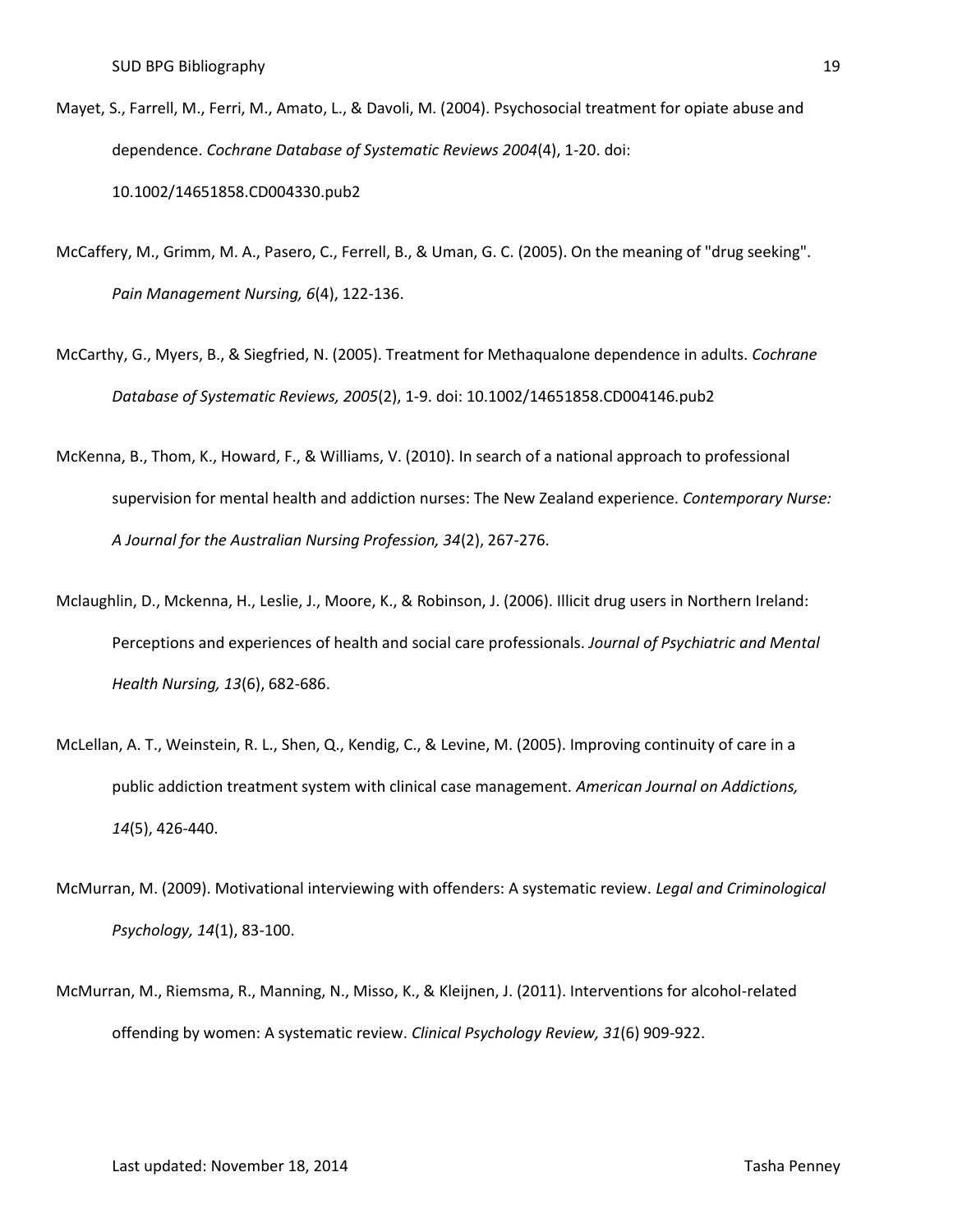- Mayet, S., Farrell, M., Ferri, M., Amato, L., & Davoli, M. (2004). Psychosocial treatment for opiate abuse and dependence. *Cochrane Database of Systematic Reviews 2004*(4), 1-20. doi: 10.1002/14651858.CD004330.pub2
- McCaffery, M., Grimm, M. A., Pasero, C., Ferrell, B., & Uman, G. C. (2005). On the meaning of "drug seeking". *Pain Management Nursing, 6*(4), 122-136.
- McCarthy, G., Myers, B., & Siegfried, N. (2005). Treatment for Methaqualone dependence in adults. *Cochrane Database of Systematic Reviews, 2005*(2), 1-9. doi: 10.1002/14651858.CD004146.pub2
- McKenna, B., Thom, K., Howard, F., & Williams, V. (2010). In search of a national approach to professional supervision for mental health and addiction nurses: The New Zealand experience. *Contemporary Nurse: A Journal for the Australian Nursing Profession, 34*(2), 267-276.
- Mclaughlin, D., Mckenna, H., Leslie, J., Moore, K., & Robinson, J. (2006). Illicit drug users in Northern Ireland: Perceptions and experiences of health and social care professionals. *Journal of Psychiatric and Mental Health Nursing, 13*(6), 682-686.
- McLellan, A. T., Weinstein, R. L., Shen, Q., Kendig, C., & Levine, M. (2005). Improving continuity of care in a public addiction treatment system with clinical case management. *American Journal on Addictions, 14*(5), 426-440.
- McMurran, M. (2009). Motivational interviewing with offenders: A systematic review. *Legal and Criminological Psychology, 14*(1), 83-100.
- McMurran, M., Riemsma, R., Manning, N., Misso, K., & Kleijnen, J. (2011). Interventions for alcohol-related offending by women: A systematic review. *Clinical Psychology Review, 31*(6) 909-922.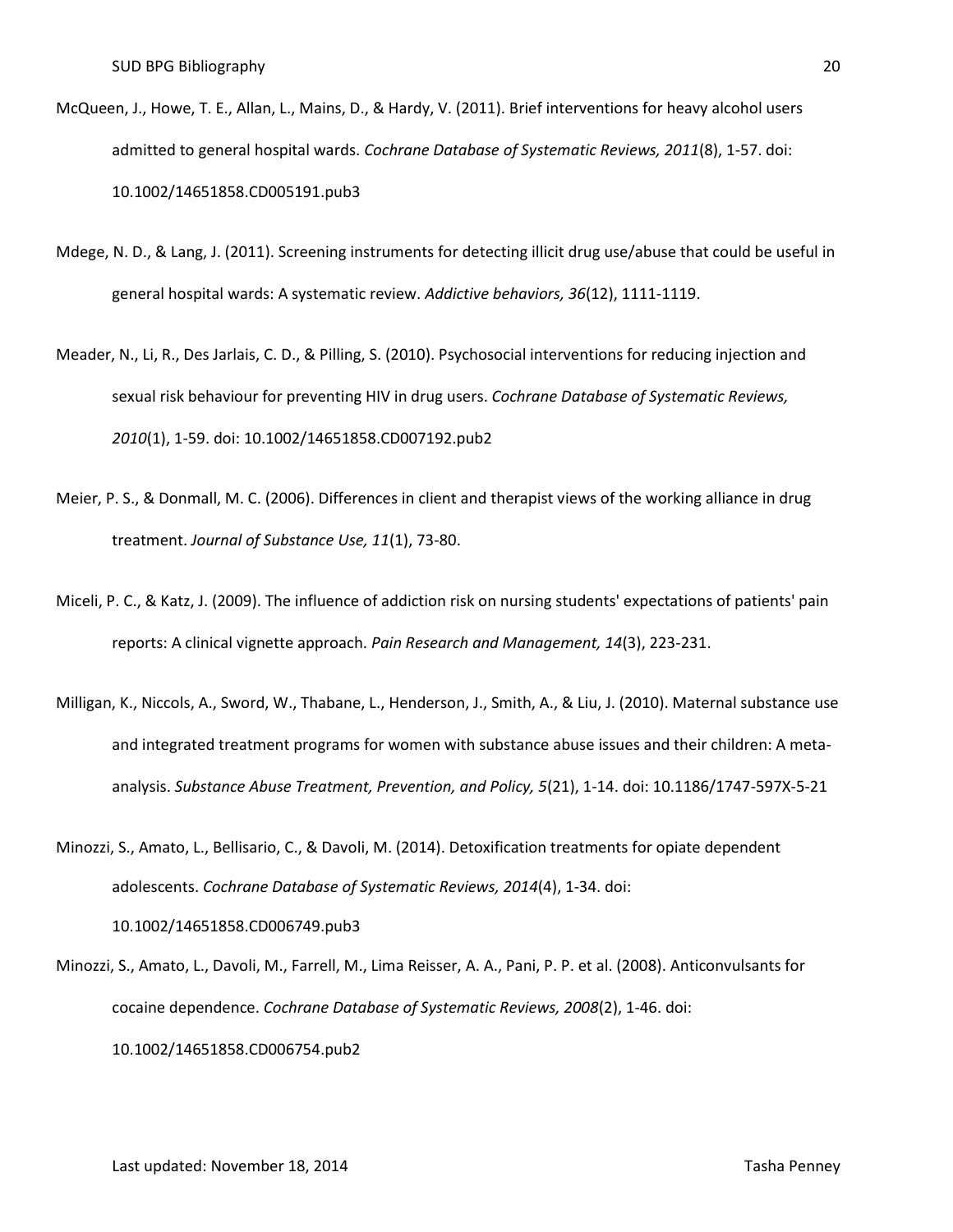- McQueen, J., Howe, T. E., Allan, L., Mains, D., & Hardy, V. (2011). Brief interventions for heavy alcohol users admitted to general hospital wards. *Cochrane Database of Systematic Reviews, 2011*(8), 1-57. doi: 10.1002/14651858.CD005191.pub3
- Mdege, N. D., & Lang, J. (2011). Screening instruments for detecting illicit drug use/abuse that could be useful in general hospital wards: A systematic review. *Addictive behaviors, 36*(12), 1111-1119.
- Meader, N., Li, R., Des Jarlais, C. D., & Pilling, S. (2010). Psychosocial interventions for reducing injection and sexual risk behaviour for preventing HIV in drug users. *Cochrane Database of Systematic Reviews, 2010*(1), 1-59. doi: 10.1002/14651858.CD007192.pub2
- Meier, P. S., & Donmall, M. C. (2006). Differences in client and therapist views of the working alliance in drug treatment. *Journal of Substance Use, 11*(1), 73-80.
- Miceli, P. C., & Katz, J. (2009). The influence of addiction risk on nursing students' expectations of patients' pain reports: A clinical vignette approach. *Pain Research and Management, 14*(3), 223-231.
- Milligan, K., Niccols, A., Sword, W., Thabane, L., Henderson, J., Smith, A., & Liu, J. (2010). Maternal substance use and integrated treatment programs for women with substance abuse issues and their children: A metaanalysis. *Substance Abuse Treatment, Prevention, and Policy, 5*(21), 1-14. doi: 10.1186/1747-597X-5-21
- Minozzi, S., Amato, L., Bellisario, C., & Davoli, M. (2014). Detoxification treatments for opiate dependent adolescents. *Cochrane Database of Systematic Reviews, 2014*(4), 1-34. doi: 10.1002/14651858.CD006749.pub3
- Minozzi, S., Amato, L., Davoli, M., Farrell, M., Lima Reisser, A. A., Pani, P. P. et al. (2008). Anticonvulsants for cocaine dependence. *Cochrane Database of Systematic Reviews, 2008*(2), 1-46. doi: 10.1002/14651858.CD006754.pub2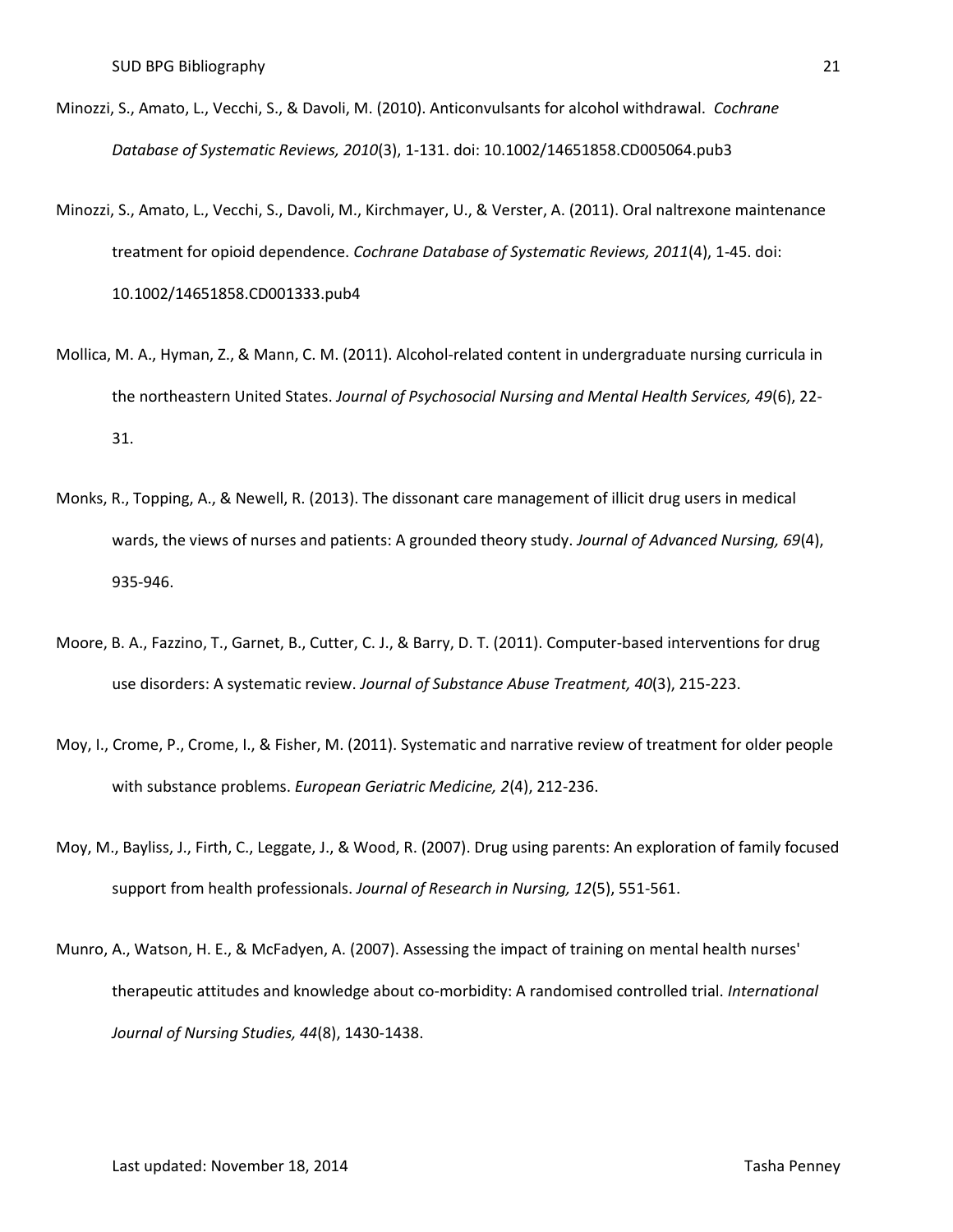- Minozzi, S., Amato, L., Vecchi, S., & Davoli, M. (2010). Anticonvulsants for alcohol withdrawal. *Cochrane Database of Systematic Reviews, 2010*(3), 1-131. doi: 10.1002/14651858.CD005064.pub3
- Minozzi, S., Amato, L., Vecchi, S., Davoli, M., Kirchmayer, U., & Verster, A. (2011). Oral naltrexone maintenance treatment for opioid dependence. *Cochrane Database of Systematic Reviews, 2011*(4), 1-45. doi: 10.1002/14651858.CD001333.pub4
- Mollica, M. A., Hyman, Z., & Mann, C. M. (2011). Alcohol-related content in undergraduate nursing curricula in the northeastern United States. *Journal of Psychosocial Nursing and Mental Health Services, 49*(6), 22- 31.
- Monks, R., Topping, A., & Newell, R. (2013). The dissonant care management of illicit drug users in medical wards, the views of nurses and patients: A grounded theory study. *Journal of Advanced Nursing, 69*(4), 935-946.
- Moore, B. A., Fazzino, T., Garnet, B., Cutter, C. J., & Barry, D. T. (2011). Computer-based interventions for drug use disorders: A systematic review. *Journal of Substance Abuse Treatment, 40*(3), 215-223.
- Moy, I., Crome, P., Crome, I., & Fisher, M. (2011). Systematic and narrative review of treatment for older people with substance problems. *European Geriatric Medicine, 2*(4), 212-236.
- Moy, M., Bayliss, J., Firth, C., Leggate, J., & Wood, R. (2007). Drug using parents: An exploration of family focused support from health professionals. *Journal of Research in Nursing, 12*(5), 551-561.
- Munro, A., Watson, H. E., & McFadyen, A. (2007). Assessing the impact of training on mental health nurses' therapeutic attitudes and knowledge about co-morbidity: A randomised controlled trial. *International Journal of Nursing Studies, 44*(8), 1430-1438.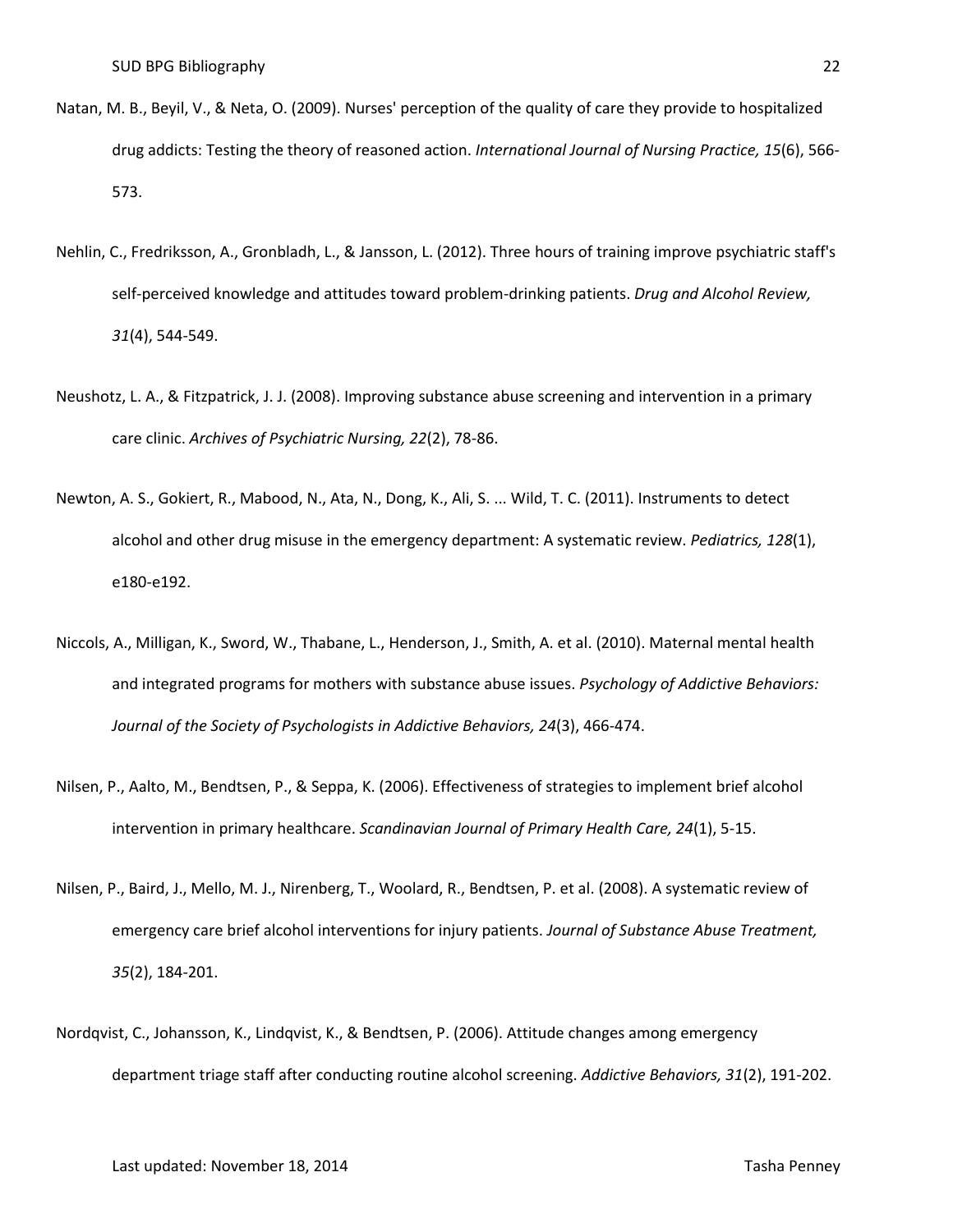- Natan, M. B., Beyil, V., & Neta, O. (2009). Nurses' perception of the quality of care they provide to hospitalized drug addicts: Testing the theory of reasoned action. *International Journal of Nursing Practice, 15*(6), 566- 573.
- Nehlin, C., Fredriksson, A., Gronbladh, L., & Jansson, L. (2012). Three hours of training improve psychiatric staff's self-perceived knowledge and attitudes toward problem-drinking patients. *Drug and Alcohol Review, 31*(4), 544-549.
- Neushotz, L. A., & Fitzpatrick, J. J. (2008). Improving substance abuse screening and intervention in a primary care clinic. *Archives of Psychiatric Nursing, 22*(2), 78-86.
- Newton, A. S., Gokiert, R., Mabood, N., Ata, N., Dong, K., Ali, S. ... Wild, T. C. (2011). Instruments to detect alcohol and other drug misuse in the emergency department: A systematic review. *Pediatrics, 128*(1), e180-e192.
- Niccols, A., Milligan, K., Sword, W., Thabane, L., Henderson, J., Smith, A. et al. (2010). Maternal mental health and integrated programs for mothers with substance abuse issues. *Psychology of Addictive Behaviors: Journal of the Society of Psychologists in Addictive Behaviors, 24*(3), 466-474.
- Nilsen, P., Aalto, M., Bendtsen, P., & Seppa, K. (2006). Effectiveness of strategies to implement brief alcohol intervention in primary healthcare. *Scandinavian Journal of Primary Health Care, 24*(1), 5-15.
- Nilsen, P., Baird, J., Mello, M. J., Nirenberg, T., Woolard, R., Bendtsen, P. et al. (2008). A systematic review of emergency care brief alcohol interventions for injury patients. *Journal of Substance Abuse Treatment, 35*(2), 184-201.
- Nordqvist, C., Johansson, K., Lindqvist, K., & Bendtsen, P. (2006). Attitude changes among emergency department triage staff after conducting routine alcohol screening. *Addictive Behaviors, 31*(2), 191-202.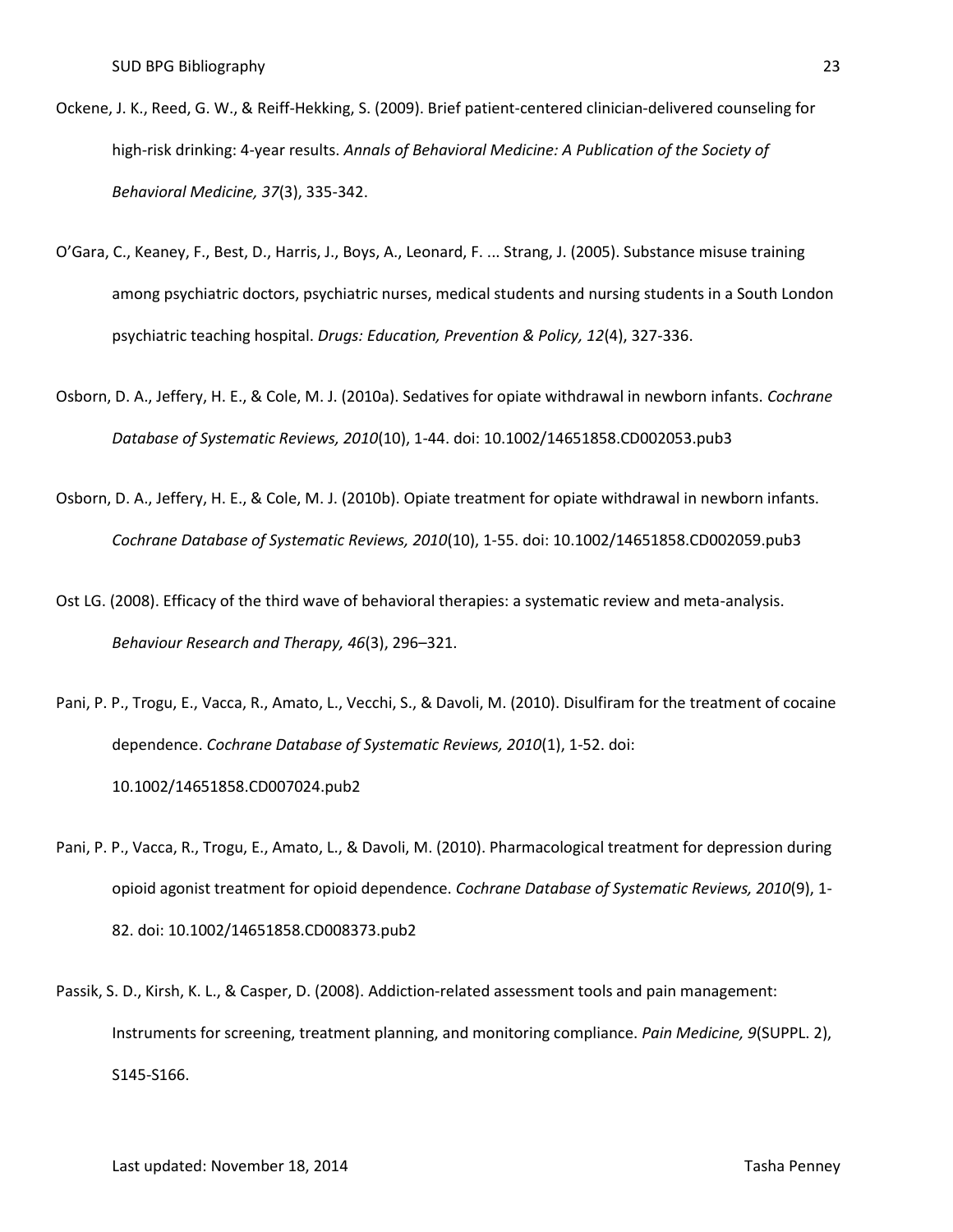- Ockene, J. K., Reed, G. W., & Reiff-Hekking, S. (2009). Brief patient-centered clinician-delivered counseling for high-risk drinking: 4-year results. *Annals of Behavioral Medicine: A Publication of the Society of Behavioral Medicine, 37*(3), 335-342.
- O'Gara, C., Keaney, F., Best, D., Harris, J., Boys, A., Leonard, F. ... Strang, J. (2005). Substance misuse training among psychiatric doctors, psychiatric nurses, medical students and nursing students in a South London psychiatric teaching hospital. *Drugs: Education, Prevention & Policy, 12*(4), 327-336.
- Osborn, D. A., Jeffery, H. E., & Cole, M. J. (2010a). Sedatives for opiate withdrawal in newborn infants. *Cochrane Database of Systematic Reviews, 2010*(10), 1-44. doi: 10.1002/14651858.CD002053.pub3
- Osborn, D. A., Jeffery, H. E., & Cole, M. J. (2010b). Opiate treatment for opiate withdrawal in newborn infants. *Cochrane Database of Systematic Reviews, 2010*(10), 1-55. doi: 10.1002/14651858.CD002059.pub3
- Ost LG. (2008). Efficacy of the third wave of behavioral therapies: a systematic review and meta-analysis. *Behaviour Research and Therapy, 46*(3), 296–321.

Pani, P. P., Trogu, E., Vacca, R., Amato, L., Vecchi, S., & Davoli, M. (2010). Disulfiram for the treatment of cocaine dependence. *Cochrane Database of Systematic Reviews, 2010*(1), 1-52. doi: 10.1002/14651858.CD007024.pub2

- Pani, P. P., Vacca, R., Trogu, E., Amato, L., & Davoli, M. (2010). Pharmacological treatment for depression during opioid agonist treatment for opioid dependence. *Cochrane Database of Systematic Reviews, 2010*(9), 1- 82. doi: 10.1002/14651858.CD008373.pub2
- Passik, S. D., Kirsh, K. L., & Casper, D. (2008). Addiction-related assessment tools and pain management: Instruments for screening, treatment planning, and monitoring compliance. *Pain Medicine, 9*(SUPPL. 2), S145-S166.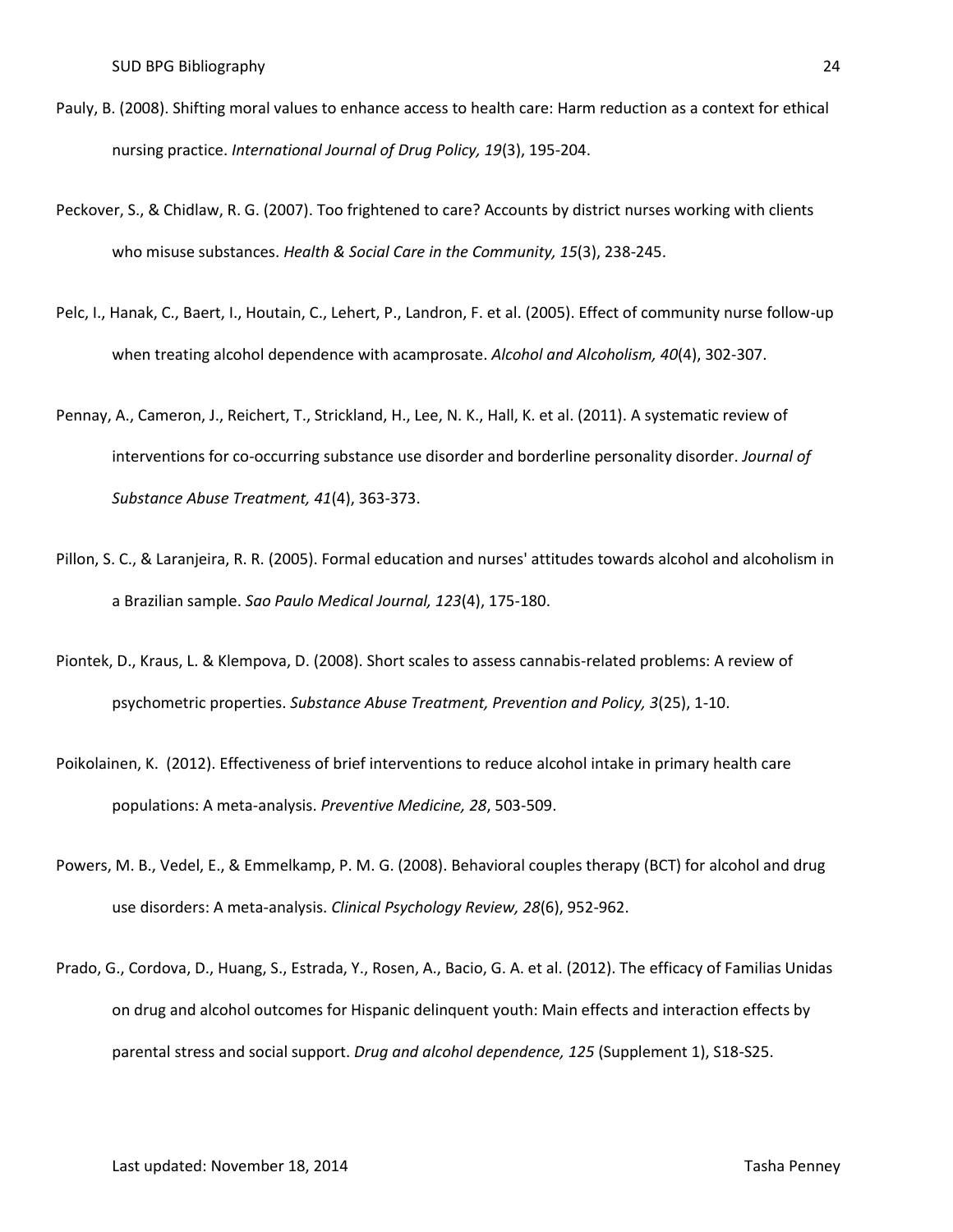- Pauly, B. (2008). Shifting moral values to enhance access to health care: Harm reduction as a context for ethical nursing practice. *International Journal of Drug Policy, 19*(3), 195-204.
- Peckover, S., & Chidlaw, R. G. (2007). Too frightened to care? Accounts by district nurses working with clients who misuse substances. *Health & Social Care in the Community, 15*(3), 238-245.
- Pelc, I., Hanak, C., Baert, I., Houtain, C., Lehert, P., Landron, F. et al. (2005). Effect of community nurse follow-up when treating alcohol dependence with acamprosate. *Alcohol and Alcoholism, 40*(4), 302-307.
- Pennay, A., Cameron, J., Reichert, T., Strickland, H., Lee, N. K., Hall, K. et al. (2011). A systematic review of interventions for co-occurring substance use disorder and borderline personality disorder. *Journal of Substance Abuse Treatment, 41*(4), 363-373.
- Pillon, S. C., & Laranjeira, R. R. (2005). Formal education and nurses' attitudes towards alcohol and alcoholism in a Brazilian sample. *Sao Paulo Medical Journal, 123*(4), 175-180.
- Piontek, D., Kraus, L. & Klempova, D. (2008). Short scales to assess cannabis-related problems: A review of psychometric properties. *Substance Abuse Treatment, Prevention and Policy, 3*(25), 1-10.
- Poikolainen, K. (2012). Effectiveness of brief interventions to reduce alcohol intake in primary health care populations: A meta-analysis. *Preventive Medicine, 28*, 503-509.
- Powers, M. B., Vedel, E., & Emmelkamp, P. M. G. (2008). Behavioral couples therapy (BCT) for alcohol and drug use disorders: A meta-analysis. *Clinical Psychology Review, 28*(6), 952-962.
- Prado, G., Cordova, D., Huang, S., Estrada, Y., Rosen, A., Bacio, G. A. et al. (2012). The efficacy of Familias Unidas on drug and alcohol outcomes for Hispanic delinquent youth: Main effects and interaction effects by parental stress and social support. *Drug and alcohol dependence, 125* (Supplement 1), S18-S25.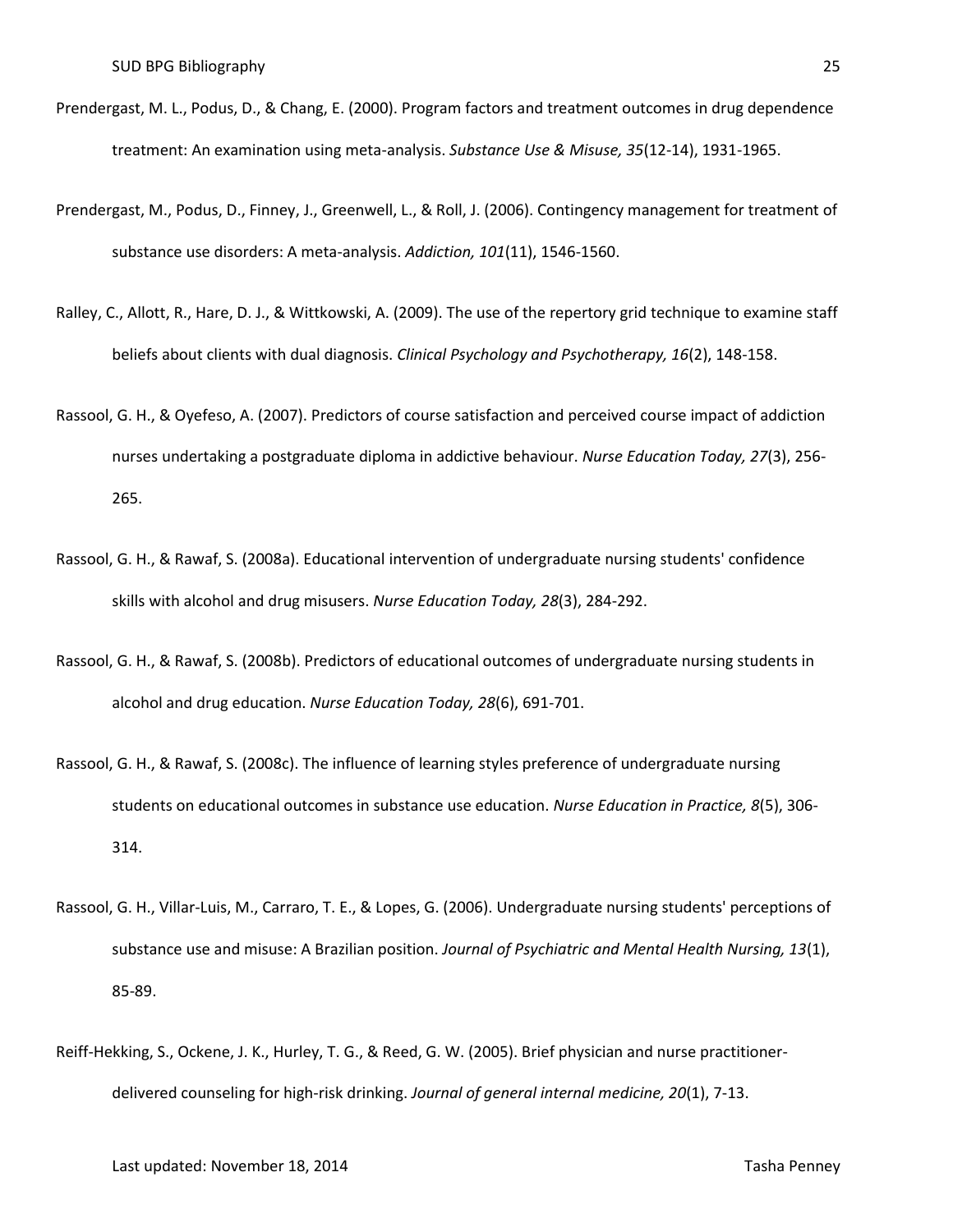- Prendergast, M. L., Podus, D., & Chang, E. (2000). Program factors and treatment outcomes in drug dependence treatment: An examination using meta-analysis. *Substance Use & Misuse, 35*(12-14), 1931-1965.
- Prendergast, M., Podus, D., Finney, J., Greenwell, L., & Roll, J. (2006). Contingency management for treatment of substance use disorders: A meta-analysis. *Addiction, 101*(11), 1546-1560.
- Ralley, C., Allott, R., Hare, D. J., & Wittkowski, A. (2009). The use of the repertory grid technique to examine staff beliefs about clients with dual diagnosis. *Clinical Psychology and Psychotherapy, 16*(2), 148-158.
- Rassool, G. H., & Oyefeso, A. (2007). Predictors of course satisfaction and perceived course impact of addiction nurses undertaking a postgraduate diploma in addictive behaviour. *Nurse Education Today, 27*(3), 256- 265.
- Rassool, G. H., & Rawaf, S. (2008a). Educational intervention of undergraduate nursing students' confidence skills with alcohol and drug misusers. *Nurse Education Today, 28*(3), 284-292.
- Rassool, G. H., & Rawaf, S. (2008b). Predictors of educational outcomes of undergraduate nursing students in alcohol and drug education. *Nurse Education Today, 28*(6), 691-701.
- Rassool, G. H., & Rawaf, S. (2008c). The influence of learning styles preference of undergraduate nursing students on educational outcomes in substance use education. *Nurse Education in Practice, 8*(5), 306- 314.
- Rassool, G. H., Villar-Luis, M., Carraro, T. E., & Lopes, G. (2006). Undergraduate nursing students' perceptions of substance use and misuse: A Brazilian position. *Journal of Psychiatric and Mental Health Nursing, 13*(1), 85-89.
- Reiff-Hekking, S., Ockene, J. K., Hurley, T. G., & Reed, G. W. (2005). Brief physician and nurse practitionerdelivered counseling for high-risk drinking. *Journal of general internal medicine, 20*(1), 7-13.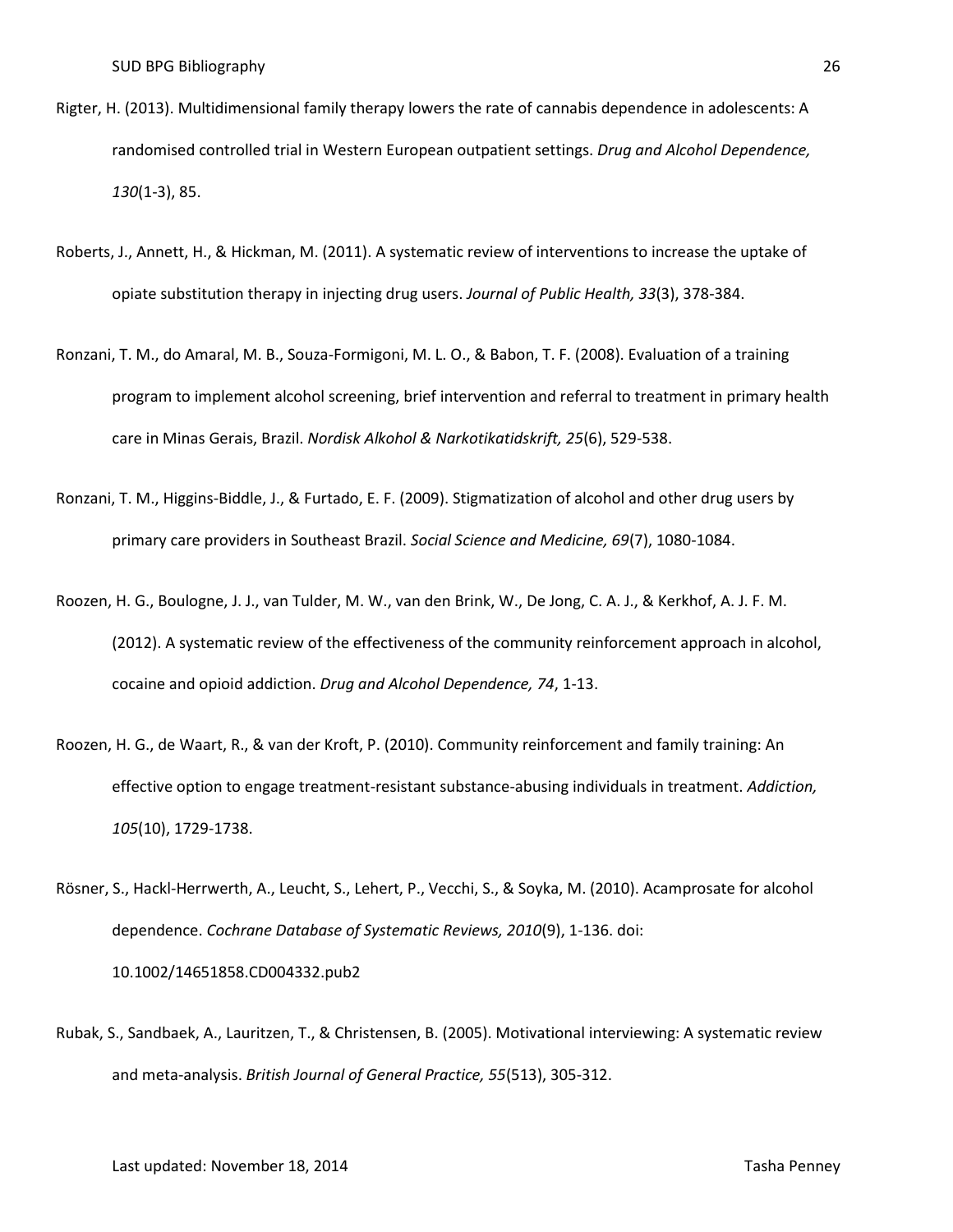- Rigter, H. (2013). Multidimensional family therapy lowers the rate of cannabis dependence in adolescents: A randomised controlled trial in Western European outpatient settings. *Drug and Alcohol Dependence, 130*(1-3), 85.
- Roberts, J., Annett, H., & Hickman, M. (2011). A systematic review of interventions to increase the uptake of opiate substitution therapy in injecting drug users. *Journal of Public Health, 33*(3), 378-384.
- Ronzani, T. M., do Amaral, M. B., Souza-Formigoni, M. L. O., & Babon, T. F. (2008). Evaluation of a training program to implement alcohol screening, brief intervention and referral to treatment in primary health care in Minas Gerais, Brazil. *Nordisk Alkohol & Narkotikatidskrift, 25*(6), 529-538.
- Ronzani, T. M., Higgins-Biddle, J., & Furtado, E. F. (2009). Stigmatization of alcohol and other drug users by primary care providers in Southeast Brazil. *Social Science and Medicine, 69*(7), 1080-1084.
- Roozen, H. G., Boulogne, J. J., van Tulder, M. W., van den Brink, W., De Jong, C. A. J., & Kerkhof, A. J. F. M. (2012). A systematic review of the effectiveness of the community reinforcement approach in alcohol, cocaine and opioid addiction. *Drug and Alcohol Dependence, 74*, 1-13.
- Roozen, H. G., de Waart, R., & van der Kroft, P. (2010). Community reinforcement and family training: An effective option to engage treatment-resistant substance-abusing individuals in treatment. *Addiction, 105*(10), 1729-1738.
- Rösner, S., Hackl-Herrwerth, A., Leucht, S., Lehert, P., Vecchi, S., & Soyka, M. (2010). Acamprosate for alcohol dependence. *Cochrane Database of Systematic Reviews, 2010*(9), 1-136. doi: 10.1002/14651858.CD004332.pub2
- Rubak, S., Sandbaek, A., Lauritzen, T., & Christensen, B. (2005). Motivational interviewing: A systematic review and meta-analysis. *British Journal of General Practice, 55*(513), 305-312.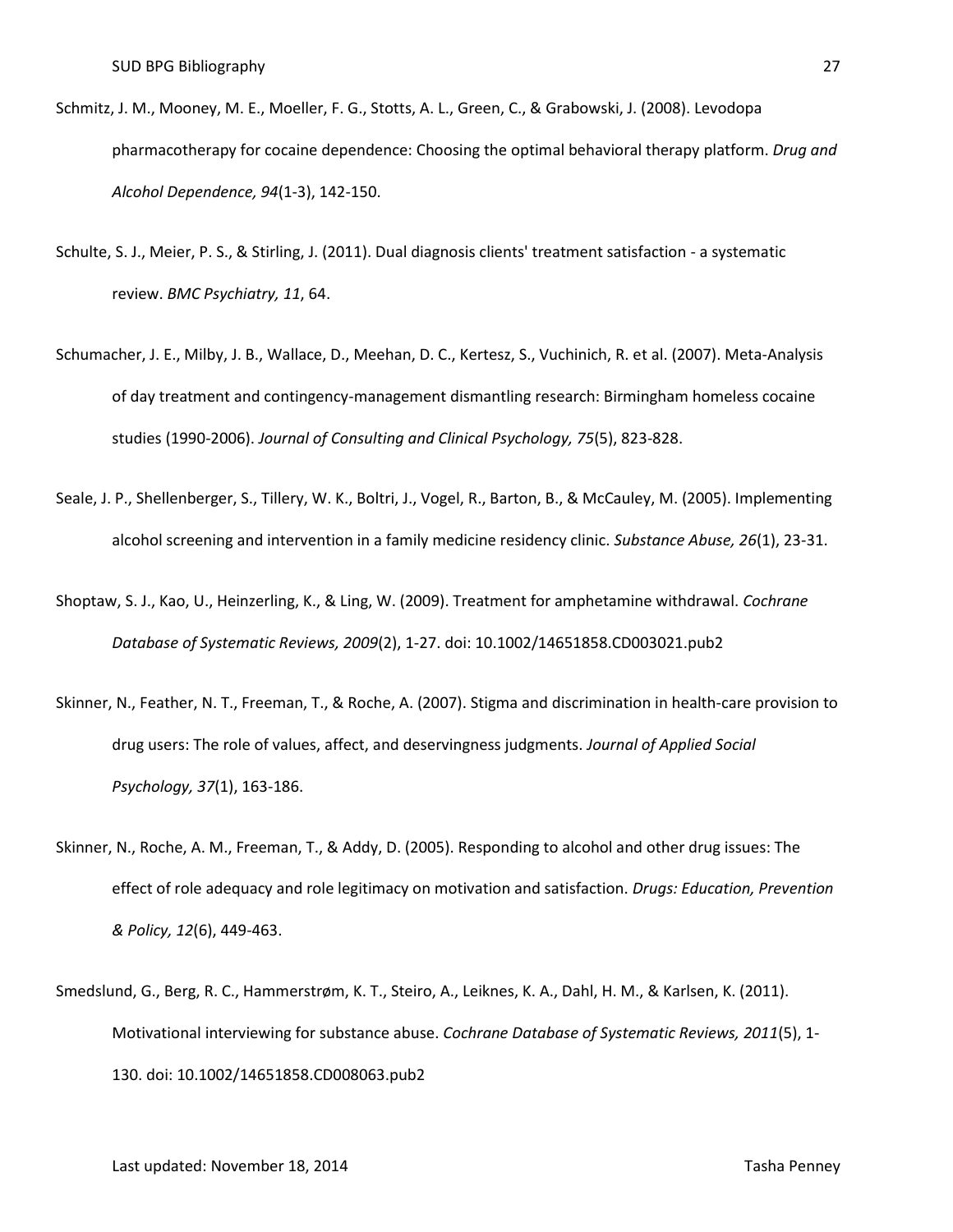- Schmitz, J. M., Mooney, M. E., Moeller, F. G., Stotts, A. L., Green, C., & Grabowski, J. (2008). Levodopa pharmacotherapy for cocaine dependence: Choosing the optimal behavioral therapy platform. *Drug and Alcohol Dependence, 94*(1-3), 142-150.
- Schulte, S. J., Meier, P. S., & Stirling, J. (2011). Dual diagnosis clients' treatment satisfaction a systematic review. *BMC Psychiatry, 11*, 64.
- Schumacher, J. E., Milby, J. B., Wallace, D., Meehan, D. C., Kertesz, S., Vuchinich, R. et al. (2007). Meta-Analysis of day treatment and contingency-management dismantling research: Birmingham homeless cocaine studies (1990-2006). *Journal of Consulting and Clinical Psychology, 75*(5), 823-828.
- Seale, J. P., Shellenberger, S., Tillery, W. K., Boltri, J., Vogel, R., Barton, B., & McCauley, M. (2005). Implementing alcohol screening and intervention in a family medicine residency clinic. *Substance Abuse, 26*(1), 23-31.
- Shoptaw, S. J., Kao, U., Heinzerling, K., & Ling, W. (2009). Treatment for amphetamine withdrawal. *Cochrane Database of Systematic Reviews, 2009*(2), 1-27. doi: 10.1002/14651858.CD003021.pub2
- Skinner, N., Feather, N. T., Freeman, T., & Roche, A. (2007). Stigma and discrimination in health-care provision to drug users: The role of values, affect, and deservingness judgments. *Journal of Applied Social Psychology, 37*(1), 163-186.
- Skinner, N., Roche, A. M., Freeman, T., & Addy, D. (2005). Responding to alcohol and other drug issues: The effect of role adequacy and role legitimacy on motivation and satisfaction. *Drugs: Education, Prevention & Policy, 12*(6), 449-463.
- Smedslund, G., Berg, R. C., Hammerstrøm, K. T., Steiro, A., Leiknes, K. A., Dahl, H. M., & Karlsen, K. (2011). Motivational interviewing for substance abuse. *Cochrane Database of Systematic Reviews, 2011*(5), 1- 130. doi: 10.1002/14651858.CD008063.pub2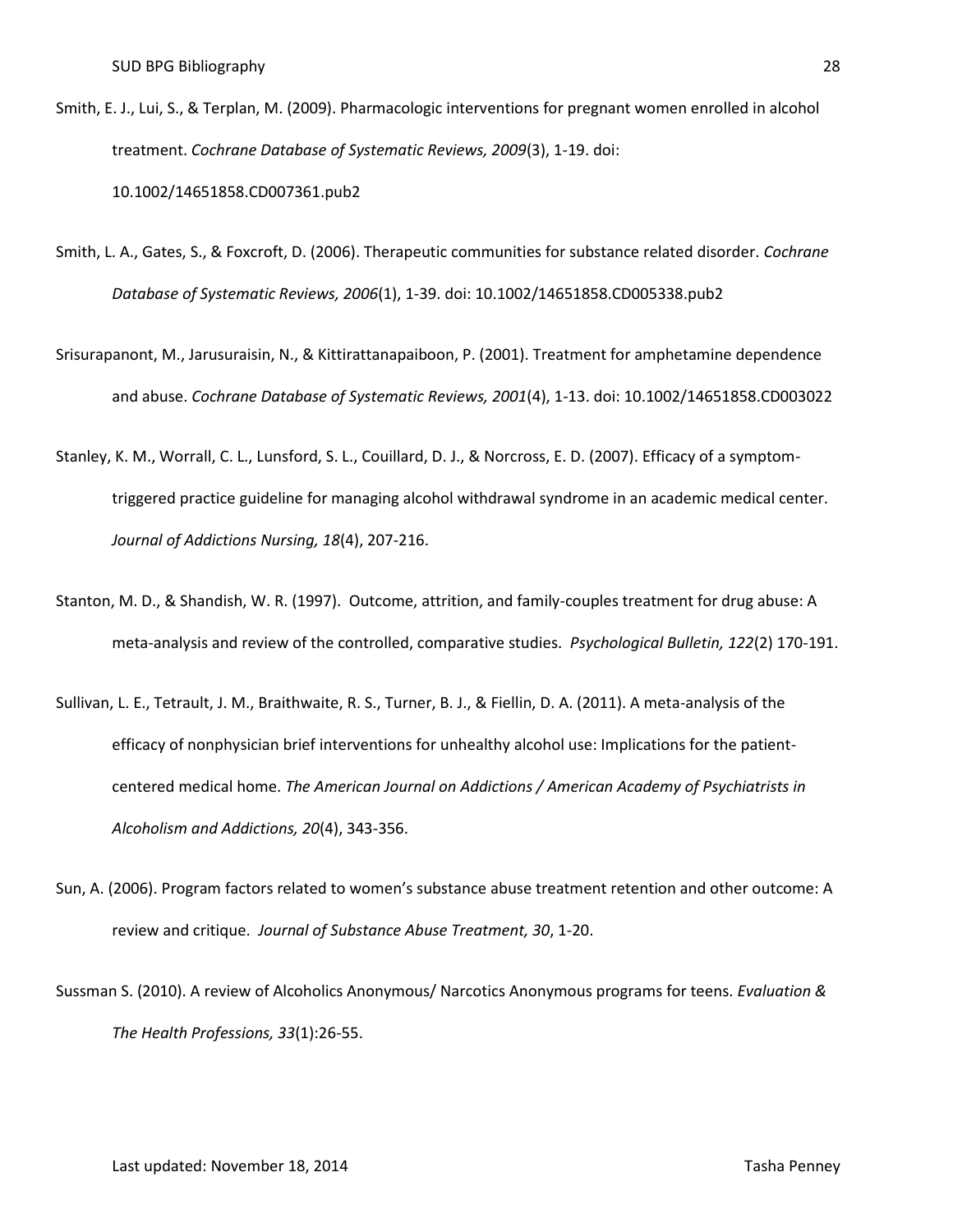- Smith, E. J., Lui, S., & Terplan, M. (2009). Pharmacologic interventions for pregnant women enrolled in alcohol treatment. *Cochrane Database of Systematic Reviews, 2009*(3), 1-19. doi: 10.1002/14651858.CD007361.pub2
- Smith, L. A., Gates, S., & Foxcroft, D. (2006). Therapeutic communities for substance related disorder. *Cochrane Database of Systematic Reviews, 2006*(1), 1-39. doi: 10.1002/14651858.CD005338.pub2
- Srisurapanont, M., Jarusuraisin, N., & Kittirattanapaiboon, P. (2001). Treatment for amphetamine dependence and abuse. *Cochrane Database of Systematic Reviews, 2001*(4), 1-13. doi: 10.1002/14651858.CD003022
- Stanley, K. M., Worrall, C. L., Lunsford, S. L., Couillard, D. J., & Norcross, E. D. (2007). Efficacy of a symptomtriggered practice guideline for managing alcohol withdrawal syndrome in an academic medical center. *Journal of Addictions Nursing, 18*(4), 207-216.
- Stanton, M. D., & Shandish, W. R. (1997). Outcome, attrition, and family-couples treatment for drug abuse: A meta-analysis and review of the controlled, comparative studies. *Psychological Bulletin, 122*(2) 170-191.
- Sullivan, L. E., Tetrault, J. M., Braithwaite, R. S., Turner, B. J., & Fiellin, D. A. (2011). A meta-analysis of the efficacy of nonphysician brief interventions for unhealthy alcohol use: Implications for the patientcentered medical home. *The American Journal on Addictions / American Academy of Psychiatrists in Alcoholism and Addictions, 20*(4), 343-356.
- Sun, A. (2006). Program factors related to women's substance abuse treatment retention and other outcome: A review and critique. *Journal of Substance Abuse Treatment, 30*, 1-20.
- Sussman S. (2010). A review of Alcoholics Anonymous/ Narcotics Anonymous programs for teens. *Evaluation & The Health Professions, 33*(1):26-55.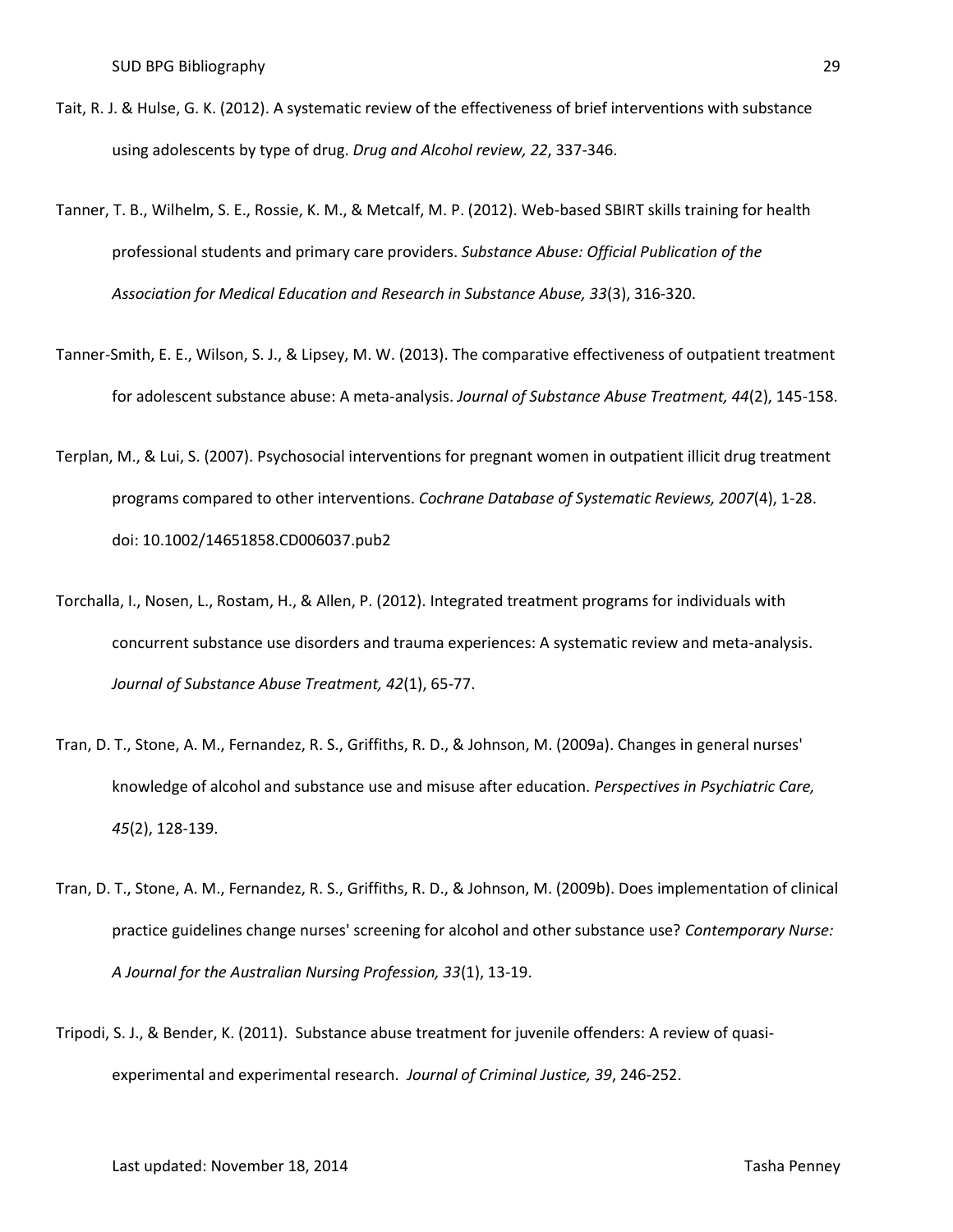- Tait, R. J. & Hulse, G. K. (2012). A systematic review of the effectiveness of brief interventions with substance using adolescents by type of drug. *Drug and Alcohol review, 22*, 337-346.
- Tanner, T. B., Wilhelm, S. E., Rossie, K. M., & Metcalf, M. P. (2012). Web-based SBIRT skills training for health professional students and primary care providers. *Substance Abuse: Official Publication of the Association for Medical Education and Research in Substance Abuse, 33*(3), 316-320.
- Tanner-Smith, E. E., Wilson, S. J., & Lipsey, M. W. (2013). The comparative effectiveness of outpatient treatment for adolescent substance abuse: A meta-analysis. *Journal of Substance Abuse Treatment, 44*(2), 145-158.
- Terplan, M., & Lui, S. (2007). Psychosocial interventions for pregnant women in outpatient illicit drug treatment programs compared to other interventions. *Cochrane Database of Systematic Reviews, 2007*(4), 1-28. doi: 10.1002/14651858.CD006037.pub2
- Torchalla, I., Nosen, L., Rostam, H., & Allen, P. (2012). Integrated treatment programs for individuals with concurrent substance use disorders and trauma experiences: A systematic review and meta-analysis. *Journal of Substance Abuse Treatment, 42*(1), 65-77.
- Tran, D. T., Stone, A. M., Fernandez, R. S., Griffiths, R. D., & Johnson, M. (2009a). Changes in general nurses' knowledge of alcohol and substance use and misuse after education. *Perspectives in Psychiatric Care, 45*(2), 128-139.
- Tran, D. T., Stone, A. M., Fernandez, R. S., Griffiths, R. D., & Johnson, M. (2009b). Does implementation of clinical practice guidelines change nurses' screening for alcohol and other substance use? *Contemporary Nurse: A Journal for the Australian Nursing Profession, 33*(1), 13-19.
- Tripodi, S. J., & Bender, K. (2011). Substance abuse treatment for juvenile offenders: A review of quasiexperimental and experimental research. *Journal of Criminal Justice, 39*, 246-252.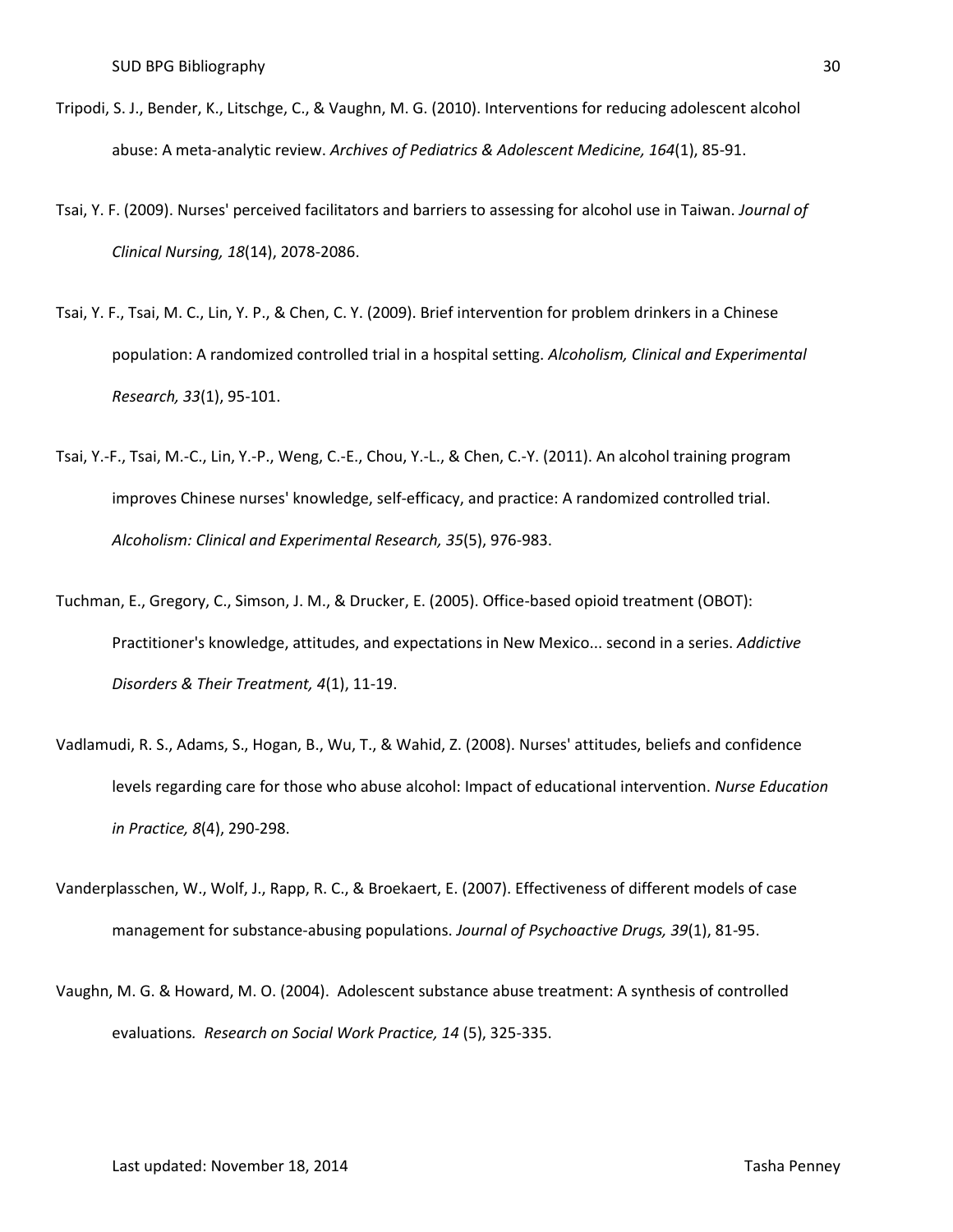- Tripodi, S. J., Bender, K., Litschge, C., & Vaughn, M. G. (2010). Interventions for reducing adolescent alcohol abuse: A meta-analytic review. *Archives of Pediatrics & Adolescent Medicine, 164*(1), 85-91.
- Tsai, Y. F. (2009). Nurses' perceived facilitators and barriers to assessing for alcohol use in Taiwan. *Journal of Clinical Nursing, 18*(14), 2078-2086.
- Tsai, Y. F., Tsai, M. C., Lin, Y. P., & Chen, C. Y. (2009). Brief intervention for problem drinkers in a Chinese population: A randomized controlled trial in a hospital setting. *Alcoholism, Clinical and Experimental Research, 33*(1), 95-101.
- Tsai, Y.-F., Tsai, M.-C., Lin, Y.-P., Weng, C.-E., Chou, Y.-L., & Chen, C.-Y. (2011). An alcohol training program improves Chinese nurses' knowledge, self-efficacy, and practice: A randomized controlled trial. *Alcoholism: Clinical and Experimental Research, 35*(5), 976-983.
- Tuchman, E., Gregory, C., Simson, J. M., & Drucker, E. (2005). Office-based opioid treatment (OBOT): Practitioner's knowledge, attitudes, and expectations in New Mexico... second in a series. *Addictive Disorders & Their Treatment, 4*(1), 11-19.
- Vadlamudi, R. S., Adams, S., Hogan, B., Wu, T., & Wahid, Z. (2008). Nurses' attitudes, beliefs and confidence levels regarding care for those who abuse alcohol: Impact of educational intervention. *Nurse Education in Practice, 8*(4), 290-298.
- Vanderplasschen, W., Wolf, J., Rapp, R. C., & Broekaert, E. (2007). Effectiveness of different models of case management for substance-abusing populations. *Journal of Psychoactive Drugs, 39*(1), 81-95.
- Vaughn, M. G. & Howard, M. O. (2004). Adolescent substance abuse treatment: A synthesis of controlled evaluations*. Research on Social Work Practice, 14* (5), 325-335.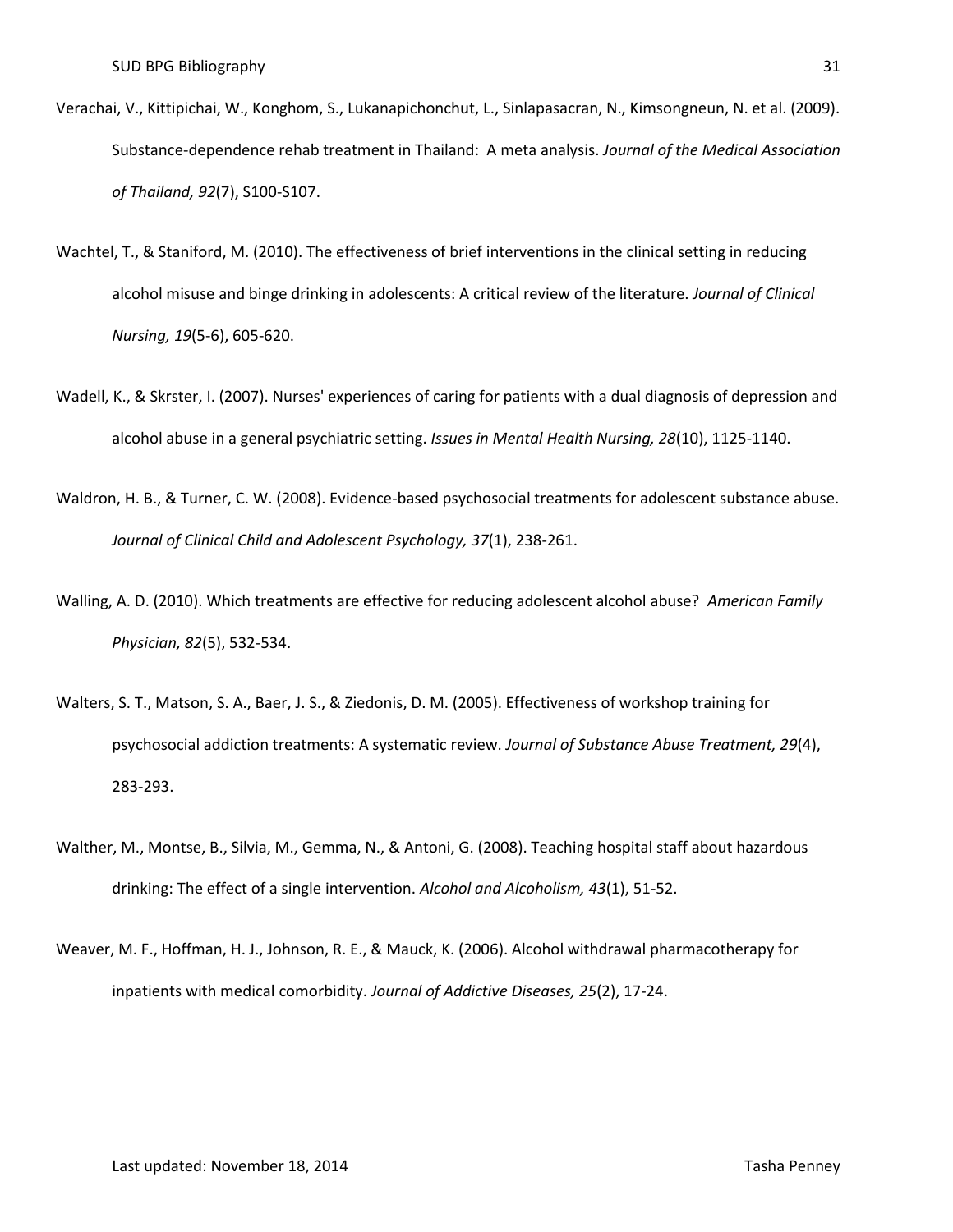- Verachai, V., Kittipichai, W., Konghom, S., Lukanapichonchut, L., Sinlapasacran, N., Kimsongneun, N. et al. (2009). Substance-dependence rehab treatment in Thailand: A meta analysis. *Journal of the Medical Association of Thailand, 92*(7), S100-S107.
- Wachtel, T., & Staniford, M. (2010). The effectiveness of brief interventions in the clinical setting in reducing alcohol misuse and binge drinking in adolescents: A critical review of the literature. *Journal of Clinical Nursing, 19*(5-6), 605-620.
- Wadell, K., & Skrster, I. (2007). Nurses' experiences of caring for patients with a dual diagnosis of depression and alcohol abuse in a general psychiatric setting. *Issues in Mental Health Nursing, 28*(10), 1125-1140.
- Waldron, H. B., & Turner, C. W. (2008). Evidence-based psychosocial treatments for adolescent substance abuse. *Journal of Clinical Child and Adolescent Psychology, 37*(1), 238-261.
- Walling, A. D. (2010). Which treatments are effective for reducing adolescent alcohol abuse? *American Family Physician, 82*(5), 532-534.
- Walters, S. T., Matson, S. A., Baer, J. S., & Ziedonis, D. M. (2005). Effectiveness of workshop training for psychosocial addiction treatments: A systematic review. *Journal of Substance Abuse Treatment, 29*(4), 283-293.
- Walther, M., Montse, B., Silvia, M., Gemma, N., & Antoni, G. (2008). Teaching hospital staff about hazardous drinking: The effect of a single intervention. *Alcohol and Alcoholism, 43*(1), 51-52.
- Weaver, M. F., Hoffman, H. J., Johnson, R. E., & Mauck, K. (2006). Alcohol withdrawal pharmacotherapy for inpatients with medical comorbidity. *Journal of Addictive Diseases, 25*(2), 17-24.